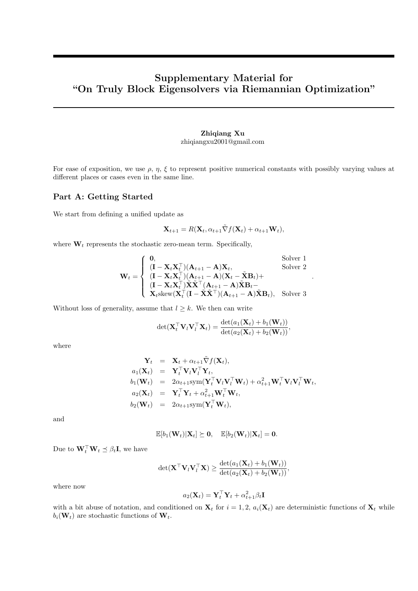# Supplementary Material for "On Truly Block Eigensolvers via Riemannian Optimization"

# Zhiqiang Xu zhiqiangxu2001@gmail.com

For ease of exposition, we use  $\rho$ ,  $\eta$ ,  $\xi$  to represent positive numerical constants with possibly varying values at different places or cases even in the same line.

# Part A: Getting Started

We start from defining a unified update as

$$
\mathbf{X}_{t+1} = R(\mathbf{X}_t, \alpha_{t+1} \tilde{\nabla} f(\mathbf{X}_t) + \alpha_{t+1} \mathbf{W}_t),
$$

.

where  $W_t$  represents the stochastic zero-mean term. Specifically,

$$
\mathbf{W}_{t} = \begin{cases}\n\mathbf{0}, & \text{Solver 1} \\
(\mathbf{I} - \mathbf{X}_{t} \mathbf{X}_{t}^{\top})(\mathbf{A}_{t+1} - \mathbf{A})\mathbf{X}_{t}, & \text{Solver 2} \\
(\mathbf{I} - \mathbf{X}_{t} \mathbf{X}_{t}^{\top})(\mathbf{A}_{t+1} - \mathbf{A})(\mathbf{X}_{t} - \tilde{\mathbf{X}}\mathbf{B}_{t}) + \\
(\mathbf{I} - \mathbf{X}_{t} \mathbf{X}_{t}^{\top})\tilde{\mathbf{X}}\tilde{\mathbf{X}}^{\top}(\mathbf{A}_{t+1} - \mathbf{A})\tilde{\mathbf{X}}\mathbf{B}_{t} - \\
\mathbf{X}_{t}\text{skew}(\mathbf{X}_{t}^{\top}(\mathbf{I} - \tilde{\mathbf{X}}\tilde{\mathbf{X}}^{\top})(\mathbf{A}_{t+1} - \mathbf{A})\tilde{\mathbf{X}}\mathbf{B}_{t}), & \text{Solver 3}\n\end{cases}
$$

Without loss of generality, assume that  $l \geq k$ . We then can write

$$
\det(\mathbf{X}_t^\top \mathbf{V}_l \mathbf{V}_l^\top \mathbf{X}_t) = \frac{\det(a_1(\mathbf{X}_t) + b_1(\mathbf{W}_t))}{\det(a_2(\mathbf{X}_t) + b_2(\mathbf{W}_t))},
$$

where

$$
\mathbf{Y}_{t} = \mathbf{X}_{t} + \alpha_{t+1} \tilde{\nabla} f(\mathbf{X}_{t}),
$$
\n
$$
a_{1}(\mathbf{X}_{t}) = \mathbf{Y}_{t}^{\top} \mathbf{V}_{l} \mathbf{V}_{l}^{\top} \mathbf{Y}_{t},
$$
\n
$$
b_{1}(\mathbf{W}_{t}) = 2\alpha_{t+1} \text{sym}(\mathbf{Y}_{t}^{\top} \mathbf{V}_{l} \mathbf{V}_{t}^{\top} \mathbf{W}_{t}) + \alpha_{t+1}^{2} \mathbf{W}_{t}^{\top} \mathbf{V}_{l} \mathbf{V}_{l}^{\top} \mathbf{W}_{t},
$$
\n
$$
a_{2}(\mathbf{X}_{t}) = \mathbf{Y}_{t}^{\top} \mathbf{Y}_{t} + \alpha_{t+1}^{2} \mathbf{W}_{t}^{\top} \mathbf{W}_{t},
$$
\n
$$
b_{2}(\mathbf{W}_{t}) = 2\alpha_{t+1} \text{sym}(\mathbf{Y}_{t}^{\top} \mathbf{W}_{t}),
$$

and

$$
\mathbb{E}[b_1(\mathbf{W}_t)|\mathbf{X}_t] \succeq \mathbf{0}, \quad \mathbb{E}[b_2(\mathbf{W}_t)|\mathbf{X}_t] = \mathbf{0}.
$$

Due to  $\mathbf{W}_t^{\top} \mathbf{W}_t \preceq \beta_t \mathbf{I}$ , we have

$$
\det(\mathbf{X}^\top \mathbf{V}_l \mathbf{V}_l^\top \mathbf{X}) \geq \frac{\det(a_1(\mathbf{X}_t) + b_1(\mathbf{W}_t))}{\det(a_2(\mathbf{X}_t) + b_2(\mathbf{W}_t))},
$$

where now

$$
a_2(\mathbf{X}_t) = \mathbf{Y}_t^\top \mathbf{Y}_t + \alpha_{t+1}^2 \beta_t \mathbf{I}
$$

with a bit abuse of notation, and conditioned on  $\mathbf{X}_t$  for  $i = 1, 2, a_i(\mathbf{X}_t)$  are deterministic functions of  $\mathbf{X}_t$  while  $b_i(\mathbf{W}_t)$  are stochastic functions of  $\mathbf{W}_t$ .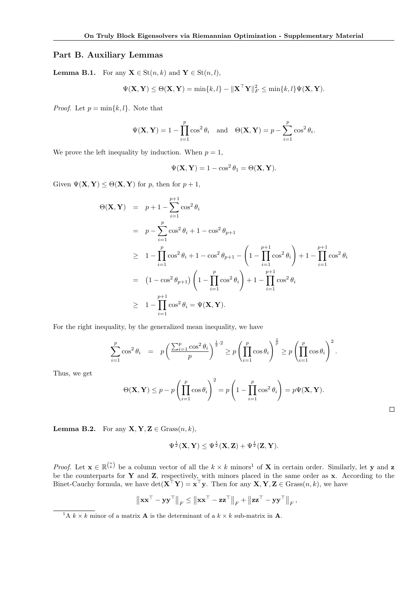#### Part B. Auxiliary Lemmas

**Lemma B.1.** For any  $X \in \text{St}(n, k)$  and  $Y \in \text{St}(n, l)$ ,

$$
\Psi(\mathbf{X}, \mathbf{Y}) \leq \Theta(\mathbf{X}, \mathbf{Y}) = \min\{k, l\} - \|\mathbf{X}^\top \mathbf{Y}\|_F^2 \leq \min\{k, l\} \Psi(\mathbf{X}, \mathbf{Y}).
$$

*Proof.* Let  $p = \min\{k, l\}$ . Note that

$$
\Psi(\mathbf{X}, \mathbf{Y}) = 1 - \prod_{i=1}^{p} \cos^{2} \theta_{i} \quad \text{and} \quad \Theta(\mathbf{X}, \mathbf{Y}) = p - \sum_{i=1}^{p} \cos^{2} \theta_{i}.
$$

We prove the left inequality by induction. When  $p = 1$ ,

$$
\Psi(\mathbf{X}, \mathbf{Y}) = 1 - \cos^2 \theta_1 = \Theta(\mathbf{X}, \mathbf{Y}).
$$

Given  $\Psi(\mathbf{X}, \mathbf{Y}) \leq \Theta(\mathbf{X}, \mathbf{Y})$  for p, then for  $p + 1$ ,

$$
\Theta(\mathbf{X}, \mathbf{Y}) = p + 1 - \sum_{i=1}^{p+1} \cos^2 \theta_i
$$
  
\n
$$
= p - \sum_{i=1}^p \cos^2 \theta_i + 1 - \cos^2 \theta_{p+1}
$$
  
\n
$$
\geq 1 - \prod_{i=1}^p \cos^2 \theta_i + 1 - \cos^2 \theta_{p+1} - \left(1 - \prod_{i=1}^{p+1} \cos^2 \theta_i\right) + 1 - \prod_{i=1}^{p+1} \cos^2 \theta_i
$$
  
\n
$$
= (1 - \cos^2 \theta_{p+1}) \left(1 - \prod_{i=1}^p \cos^2 \theta_i\right) + 1 - \prod_{i=1}^{p+1} \cos^2 \theta_i
$$
  
\n
$$
\geq 1 - \prod_{i=1}^{p+1} \cos^2 \theta_i = \Psi(\mathbf{X}, \mathbf{Y}).
$$

For the right inequality, by the generalized mean inequality, we have

$$
\sum_{i=1}^p \cos^2 \theta_i = p \left( \frac{\sum_{i=1}^p \cos^2 \theta_i}{p} \right)^{\frac{1}{2} \cdot 2} \ge p \left( \prod_{i=1}^p \cos \theta_i \right)^{\frac{2}{p}} \ge p \left( \prod_{i=1}^p \cos \theta_i \right)^2.
$$

Thus, we get

$$
\Theta(\mathbf{X}, \mathbf{Y}) \le p - p \left( \prod_{i=1}^p \cos \theta_i \right)^2 = p \left( 1 - \prod_{i=1}^p \cos^2 \theta_i \right) = p \Psi(\mathbf{X}, \mathbf{Y}).
$$

 $\Box$ 

**Lemma B.2.** For any  $X, Y, Z \in$  Grass $(n, k)$ ,

$$
\Psi^{\frac{1}{2}}(\mathbf{X},\mathbf{Y})\leq \Psi^{\frac{1}{2}}(\mathbf{X},\mathbf{Z})+\Psi^{\frac{1}{2}}(\mathbf{Z},\mathbf{Y}).
$$

*Proof.* Let  $\mathbf{x} \in \mathbb{R}^{n \choose k}$  be a column vector of all the  $k \times k$  minors<sup>1</sup> of **X** in certain order. Similarly, let **y** and **z** be the counterparts for  $Y$  and  $Z$ , respectively, with minors placed in the same order as  $x$ . According to the Binet-Cauchy formula, we have  $\det(\mathbf{X}^\top \mathbf{Y}) = \mathbf{x}^\top \mathbf{y}$ . Then for any  $\mathbf{X}, \mathbf{Y}, \mathbf{Z} \in \text{Grass}(n, k)$ , we have

$$
\left\| \mathbf{x} \mathbf{x}^{\top} - \mathbf{y} \mathbf{y}^{\top} \right\|_F \le \left\| \mathbf{x} \mathbf{x}^{\top} - \mathbf{z} \mathbf{z}^{\top} \right\|_F + \left\| \mathbf{z} \mathbf{z}^{\top} - \mathbf{y} \mathbf{y}^{\top} \right\|_F,
$$

<sup>&</sup>lt;sup>1</sup>A  $k \times k$  minor of a matrix **A** is the determinant of a  $k \times k$  sub-matrix in **A**.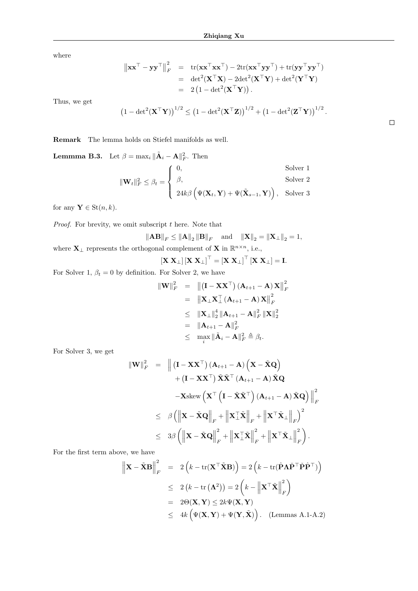where

$$
\|\mathbf{x}\mathbf{x}^{\top} - \mathbf{y}\mathbf{y}^{\top}\|_{F}^{2} = \text{tr}(\mathbf{x}\mathbf{x}^{\top}\mathbf{x}\mathbf{x}^{\top}) - 2\text{tr}(\mathbf{x}\mathbf{x}^{\top}\mathbf{y}\mathbf{y}^{\top}) + \text{tr}(\mathbf{y}\mathbf{y}^{\top}\mathbf{y}\mathbf{y}^{\top})
$$
  
=  $\text{det}^{2}(\mathbf{X}^{\top}\mathbf{X}) - 2\text{det}^{2}(\mathbf{X}^{\top}\mathbf{Y}) + \text{det}^{2}(\mathbf{Y}^{\top}\mathbf{Y})$   
=  $2(1 - \text{det}^{2}(\mathbf{X}^{\top}\mathbf{Y})).$ 

Thus, we get

$$
(1 - \det^2(\mathbf{X}^\top \mathbf{Y}))^{1/2} \le (1 - \det^2(\mathbf{X}^\top \mathbf{Z}))^{1/2} + (1 - \det^2(\mathbf{Z}^\top \mathbf{Y}))^{1/2}
$$

Remark The lemma holds on Stiefel manifolds as well.

**Lemmma B.3.** Let  $\beta = \max_i ||\tilde{\mathbf{A}}_i - \mathbf{A}||_F^2$ . Then

$$
\|\mathbf{W}_{t}\|_{F}^{2} \leq \beta_{t} = \begin{cases} 0, & \text{Solver 1} \\ \beta, & \text{Solver 2} \\ 24k\beta \left(\Psi(\mathbf{X}_{t}, \mathbf{Y}) + \Psi(\tilde{\mathbf{X}}_{s-1}, \mathbf{Y})\right), & \text{Solver 3} \end{cases}
$$

for any  $\mathbf{Y} \in \text{St}(n, k)$ .

*Proof.* For brevity, we omit subscript  $t$  here. Note that

$$
\left\| \mathbf{A} \mathbf{B} \right\|_F \leq \left\| \mathbf{A} \right\|_2 \left\| \mathbf{B} \right\|_F \quad \text{and} \quad \left\| \mathbf{X} \right\|_2 = \left\| \mathbf{X}_{\perp} \right\|_2 = 1,
$$
 where  $\mathbf{X}_{\perp}$  represents the orthogonal complement of  $\mathbf{X}$  in  $\mathbb{R}^{n \times n}$ , i.e.,

$$
\left[\mathbf{X} \ \mathbf{X}_{\perp}\right] \left[\mathbf{X} \ \mathbf{X}_{\perp}\right]^{\top} = \left[\mathbf{X} \ \mathbf{X}_{\perp}\right]^{\top} \left[\mathbf{X} \ \mathbf{X}_{\perp}\right] = \mathbf{I}.
$$

For Solver 1,  $\beta_t = 0$  by definition. For Solver 2, we have

$$
\begin{array}{rcl} \|\mathbf{W}\|_F^2 &=& \left\| \left(\mathbf{I} - \mathbf{X} \mathbf{X}^\top\right) (\mathbf{A}_{t+1} - \mathbf{A}) \, \mathbf{X} \right\|_F^2 \\ &=& \left\| \mathbf{X}_\bot \mathbf{X}_\bot^\top (\mathbf{A}_{t+1} - \mathbf{A}) \, \mathbf{X} \right\|_F^2 \\ &\leq& \left\| \mathbf{X}_\bot \right\|_2^4 \left\| \mathbf{A}_{t+1} - \mathbf{A} \right\|_F^2 \left\| \mathbf{X} \right\|_2^2 \\ &=& \left\| \mathbf{A}_{t+1} - \mathbf{A} \right\|_F^2 \\ &\leq& \max_i \left\| \tilde{\mathbf{A}}_i - \mathbf{A} \right\|_F^2 \triangleq \beta_t. \end{array}
$$

For Solver 3, we get

$$
\begin{array}{rcl} \|\mathbf{W}\|_{F}^{2} & = & \left\| \left( \mathbf{I} - \mathbf{X} \mathbf{X}^{\top} \right) (\mathbf{A}_{t+1} - \mathbf{A}) \left( \mathbf{X} - \tilde{\mathbf{X}} \mathbf{Q} \right) \right. \\ & & \left. + \left( \mathbf{I} - \mathbf{X} \mathbf{X}^{\top} \right) \tilde{\mathbf{X}} \tilde{\mathbf{X}}^{\top} (\mathbf{A}_{t+1} - \mathbf{A}) \tilde{\mathbf{X}} \mathbf{Q} \right. \\ & & \left. - \mathbf{X} \text{skew} \left( \mathbf{X}^{\top} \left( \mathbf{I} - \tilde{\mathbf{X}} \tilde{\mathbf{X}}^{\top} \right) (\mathbf{A}_{t+1} - \mathbf{A}) \tilde{\mathbf{X}} \mathbf{Q} \right) \right\|_{F}^{2} \\ & \leq & \beta \left( \left\| \mathbf{X} - \tilde{\mathbf{X}} \mathbf{Q} \right\|_{F} + \left\| \mathbf{X}_{\perp}^{\top} \tilde{\mathbf{X}} \right\|_{F} + \left\| \mathbf{X}^{\top} \tilde{\mathbf{X}}_{\perp} \right\|_{F} \right)^{2} \\ & \leq & 3\beta \left( \left\| \mathbf{X} - \tilde{\mathbf{X}} \mathbf{Q} \right\|_{F}^{2} + \left\| \mathbf{X}_{\perp}^{\top} \tilde{\mathbf{X}} \right\|_{F}^{2} + \left\| \mathbf{X}^{\top} \tilde{\mathbf{X}}_{\perp} \right\|_{F}^{2} \right). \end{array}
$$

For the first term above, we have

$$
\left\| \mathbf{X} - \tilde{\mathbf{X}} \mathbf{B} \right\|_F^2 = 2 \left( k - \text{tr}(\mathbf{X}^\top \tilde{\mathbf{X}} \mathbf{B}) \right) = 2 \left( k - \text{tr}(\hat{\mathbf{P}} \mathbf{\Lambda} \check{\mathbf{P}}^\top \check{\mathbf{P}} \hat{\mathbf{P}}^\top) \right)
$$
  
\n
$$
\leq 2 \left( k - \text{tr}(\mathbf{\Lambda}^2) \right) = 2 \left( k - \left\| \mathbf{X}^\top \tilde{\mathbf{X}} \right\|_F^2 \right)
$$
  
\n
$$
= 2\Theta(\mathbf{X}, \mathbf{Y}) \leq 2k \Psi(\mathbf{X}, \mathbf{Y})
$$
  
\n
$$
\leq 4k \left( \Psi(\mathbf{X}, \mathbf{Y}) + \Psi(\mathbf{Y}, \tilde{\mathbf{X}}) \right). \quad \text{(Lemma A.1-A.2)}
$$

 $\Box$ 

.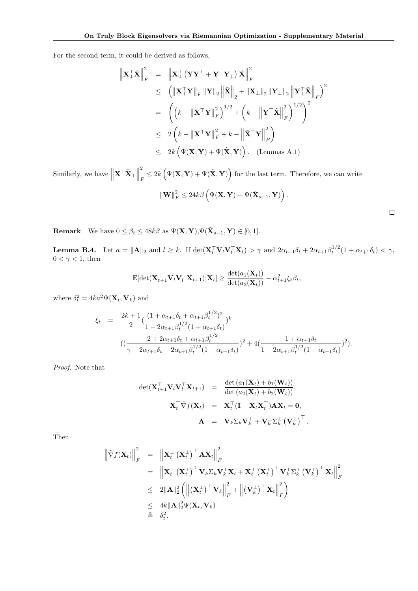For the second term, it could be derived as follows,

$$
\|\mathbf{X}_{\perp}^{\top}\tilde{\mathbf{X}}\|_{F}^{2} = \|\mathbf{X}_{\perp}^{\top}(\mathbf{Y}\mathbf{Y}^{\top} + \mathbf{Y}_{\perp}\mathbf{Y}_{\perp}^{\top})\tilde{\mathbf{X}}\|_{F}^{2}
$$
  
\n
$$
\leq (\|\mathbf{X}_{\perp}^{\top}\mathbf{Y}\|_{F}\|\mathbf{Y}\|_{2}\|\tilde{\mathbf{X}}\|_{2} + \|\mathbf{X}_{\perp}\|_{2}\|\mathbf{Y}_{\perp}\|_{2}\|\mathbf{Y}_{\perp}^{\top}\tilde{\mathbf{X}}\|_{F})^{2}
$$
  
\n
$$
= (\mathbf{k} - \|\mathbf{X}^{\top}\mathbf{Y}\|_{F}^{2})^{1/2} + (\mathbf{k} - \|\mathbf{Y}^{\top}\tilde{\mathbf{X}}\|_{F}^{2})^{1/2})^{2}
$$
  
\n
$$
\leq 2(\mathbf{k} - \|\mathbf{X}^{\top}\mathbf{Y}\|_{F}^{2} + \mathbf{k} - \|\tilde{\mathbf{X}}^{\top}\mathbf{Y}\|_{F}^{2})
$$
  
\n
$$
\leq 2\mathbf{k}(\Psi(\mathbf{X}, \mathbf{Y}) + \Psi(\tilde{\mathbf{X}}, \mathbf{Y})) \text{ . (Lemma A.1)}
$$

Similarly, we have  $\left\| \mathbf{X}^{\top} \tilde{\mathbf{X}}_{\perp} \right\|$ 2  $\frac{P}{F} \leq 2k \left( \Psi(\mathbf{X}, \mathbf{Y}) + \Psi(\tilde{\mathbf{X}}, \mathbf{Y}) \right)$  for the last term. Therefore, we can write

$$
\left\Vert \mathbf{W}\right\Vert _{F}^{2}\leq24k\beta\left(\Psi(\mathbf{X},\mathbf{Y})+\Psi(\tilde{\mathbf{X}}_{s-1},\mathbf{Y})\right)
$$

.

 $\Box$ 

**Remark** We have  $0 \le \beta_t \le 48k\beta$  as  $\Psi(\mathbf{X}, \mathbf{Y}), \Psi(\tilde{\mathbf{X}}_{s-1}, \mathbf{Y}) \in [0, 1].$ 

**Lemma B.4.** Let  $a = \|\mathbf{A}\|_2$  and  $l \geq k$ . If  $\det(\mathbf{X}_t^\top \mathbf{V}_l \mathbf{V}_l^\top \mathbf{X}_t) > \gamma$  and  $2\alpha_{t+1}\delta_t + 2\alpha_{t+1}\beta_t^{1/2}(1 + \alpha_{t+1}\delta_t) < \gamma$ ,  $0 < \gamma < 1$ , then

$$
\mathbb{E}[\det(\mathbf{X}_{t+1}^\top \mathbf{V}_l \mathbf{V}_l^\top \mathbf{X}_{t+1}) | \mathbf{X}_t] \geq \frac{\det(a_1(\mathbf{X}_t))}{\det(a_2(\mathbf{X}_t))} - \alpha_{t+1}^2 \xi_t \beta_t,
$$

where  $\delta_t^2 = 4ka^2\Psi(\mathbf{X}_t, \mathbf{V}_k)$  and

$$
\xi_t = \frac{2k+1}{2} \left( \frac{(1+\alpha_{t+1}\delta_t + \alpha_{t+1}\beta_t^{1/2})^2}{1-2\alpha_{t+1}\beta_t^{1/2}(1+\alpha_{t+1}\delta_t)} \right)^k
$$
  

$$
\left( \left( \frac{2+2\alpha_{t+1}\delta_t + \alpha_{t+1}\beta_t^{1/2}}{\gamma - 2\alpha_{t+1}\delta_t - 2\alpha_{t+1}\beta_t^{1/2}(1+\alpha_{t+1}\delta_t)} \right)^2 + 4\left( \frac{1+\alpha_{t+1}\delta_t}{1-2\alpha_{t+1}\beta_t^{1/2}(1+\alpha_{t+1}\delta_t)} \right)^2 \right).
$$

Proof. Note that

$$
\det(\mathbf{X}_{t+1}^{\top} \mathbf{V}_l \mathbf{V}_l^{\top} \mathbf{X}_{t+1}) = \frac{\det (a_1(\mathbf{X}_t) + b_1(\mathbf{W}_t))}{\det (a_2(\mathbf{X}_t) + b_2(\mathbf{W}_t))},
$$
  

$$
\mathbf{X}_t^{\top} \tilde{\nabla} f(\mathbf{X}_t) = \mathbf{X}_t^{\top} (\mathbf{I} - \mathbf{X}_t \mathbf{X}_t^{\top}) \mathbf{A} \mathbf{X}_t = \mathbf{0},
$$
  

$$
\mathbf{A} = \mathbf{V}_k \Sigma_k \mathbf{V}_k^{\top} + \mathbf{V}_k^{\perp} \Sigma_k^{\perp} (\mathbf{V}_k^{\perp})^{\top}.
$$

Then

$$
\begin{aligned}\n\left\| \tilde{\nabla} f(\mathbf{X}_t) \right\|_F^2 &= \left\| \mathbf{X}_t^{\perp} \left( \mathbf{X}_t^{\perp} \right)^{\top} \mathbf{A} \mathbf{X}_t \right\|_F^2 \\
&= \left\| \mathbf{X}_t^{\perp} \left( \mathbf{X}_t^{\perp} \right)^{\top} \mathbf{V}_k \Sigma_k \mathbf{V}_k^{\top} \mathbf{X}_t + \mathbf{X}_t^{\perp} \left( \mathbf{X}_t^{\perp} \right)^{\top} \mathbf{V}_k^{\perp} \Sigma_k^{\perp} \left( \mathbf{V}_k^{\perp} \right)^{\top} \mathbf{X}_t \right\|_F^2 \\
&\leq 2 \|\mathbf{A}\|_2^2 \left( \left\| \left( \mathbf{X}_t^{\perp} \right)^{\top} \mathbf{V}_k \right\|_F^2 + \left\| \left( \mathbf{V}_k^{\perp} \right)^{\top} \mathbf{X}_t \right\|_F^2 \right) \\
&\leq 4k \|\mathbf{A}\|_2^2 \Psi(\mathbf{X}_t, \mathbf{V}_k) \\
&\triangleq \delta_t^2.\n\end{aligned}
$$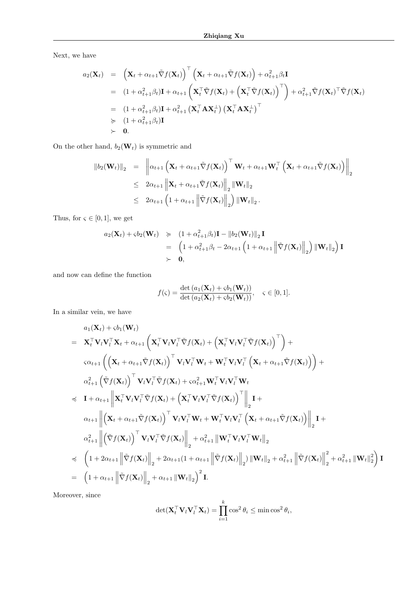Next, we have

$$
a_2(\mathbf{X}_t) = (\mathbf{X}_t + \alpha_{t+1} \tilde{\nabla} f(\mathbf{X}_t))^\top (\mathbf{X}_t + \alpha_{t+1} \tilde{\nabla} f(\mathbf{X}_t)) + \alpha_{t+1}^2 \beta_t \mathbf{I}
$$
  
\n
$$
= (1 + \alpha_{t+1}^2 \beta_t) \mathbf{I} + \alpha_{t+1} (\mathbf{X}_t^\top \tilde{\nabla} f(\mathbf{X}_t) + (\mathbf{X}_t^\top \tilde{\nabla} f(\mathbf{X}_t))^\top) + \alpha_{t+1}^2 \tilde{\nabla} f(\mathbf{X}_t)^\top \tilde{\nabla} f(\mathbf{X}_t)
$$
  
\n
$$
= (1 + \alpha_{t+1}^2 \beta_t) \mathbf{I} + \alpha_{t+1}^2 (\mathbf{X}_t^\top \mathbf{A} \mathbf{X}_t^\perp) (\mathbf{X}_t^\top \mathbf{A} \mathbf{X}_t^\perp)^\top
$$
  
\n
$$
\succ \qquad (1 + \alpha_{t+1}^2 \beta_t) \mathbf{I}
$$
  
\n
$$
\succ \qquad \mathbf{0}.
$$

On the other hand,  $b_2(\mathbf{W}_t)$  is symmetric and

$$
\begin{array}{rcl}\n\left\|b_{2}(\mathbf{W}_{t})\right\|_{2} & = & \left\|\alpha_{t+1}\left(\mathbf{X}_{t}+\alpha_{t+1}\tilde{\nabla}f(\mathbf{X}_{t})\right)^{\top}\mathbf{W}_{t}+\alpha_{t+1}\mathbf{W}_{t}^{\top}\left(\mathbf{X}_{t}+\alpha_{t+1}\tilde{\nabla}f(\mathbf{X}_{t})\right)\right\|_{2} \\
& \leq & 2\alpha_{t+1}\left\|\mathbf{X}_{t}+\alpha_{t+1}\tilde{\nabla}f(\mathbf{X}_{t})\right\|_{2}\left\|\mathbf{W}_{t}\right\|_{2} \\
& \leq & 2\alpha_{t+1}\left(1+\alpha_{t+1}\left\|\tilde{\nabla}f(\mathbf{X}_{t})\right\|_{2}\right)\left\|\mathbf{W}_{t}\right\|_{2}.\n\end{array}
$$

Thus, for  $\varsigma \in [0,1]$ , we get

$$
a_2(\mathbf{X}_t) + \varsigma b_2(\mathbf{W}_t) \geq (1 + \alpha_{t+1}^2 \beta_t) \mathbf{I} - ||b_2(\mathbf{W}_t)||_2 \mathbf{I}
$$
  
= 
$$
\left(1 + \alpha_{t+1}^2 \beta_t - 2\alpha_{t+1} \left(1 + \alpha_{t+1} \left\|\tilde{\nabla}f(\mathbf{X}_t)\right\|_2\right) \|\mathbf{W}_t\|_2\right) \mathbf{I}
$$
  
> 0,

and now can define the function

$$
f(\varsigma) = \frac{\det (a_1(\mathbf{X}_t) + \varsigma b_1(\mathbf{W}_t))}{\det (a_2(\mathbf{X}_t) + \varsigma b_2(\mathbf{W}_t))}, \quad \varsigma \in [0, 1].
$$

In a similar vein, we have

$$
a_1(\mathbf{X}_t) + \varsigma b_1(\mathbf{W}_t)
$$
\n
$$
= \mathbf{X}_t^\top \mathbf{V}_l \mathbf{V}_t^\top \mathbf{X}_t + \alpha_{t+1} \left( \mathbf{X}_t^\top \mathbf{V}_l \mathbf{V}_l^\top \tilde{\nabla} f(\mathbf{X}_t) + \left( \mathbf{X}_t^\top \mathbf{V}_l \mathbf{V}_l^\top \tilde{\nabla} f(\mathbf{X}_t) \right)^\top \right) +
$$
\n
$$
\varsigma \alpha_{t+1} \left( \left( \mathbf{X}_t + \alpha_{t+1} \tilde{\nabla} f(\mathbf{X}_t) \right)^\top \mathbf{V}_l \mathbf{V}_l^\top \mathbf{W}_t + \mathbf{W}_t^\top \mathbf{V}_l \mathbf{V}_l^\top \left( \mathbf{X}_t + \alpha_{t+1} \tilde{\nabla} f(\mathbf{X}_t) \right) \right) +
$$
\n
$$
\alpha_{t+1}^2 \left( \tilde{\nabla} f(\mathbf{X}_t) \right)^\top \mathbf{V}_l \mathbf{V}_l^\top \tilde{\nabla} f(\mathbf{X}_t) + \varsigma \alpha_{t+1}^2 \mathbf{W}_t^\top \mathbf{V}_l \mathbf{V}_l^\top \mathbf{W}_t
$$
\n
$$
\preccurlyeq \mathbf{I} + \alpha_{t+1} \left\| \mathbf{X}_t^\top \mathbf{V}_l \mathbf{V}_l^\top \tilde{\nabla} f(\mathbf{X}_t) + \left( \mathbf{X}_t^\top \mathbf{V}_l \mathbf{V}_l^\top \tilde{\nabla} f(\mathbf{X}_t) \right)^\top \right\|_2 \mathbf{I} +
$$
\n
$$
\alpha_{t+1} \left\| \left( \mathbf{X}_t + \alpha_{t+1} \tilde{\nabla} f(\mathbf{X}_t) \right)^\top \mathbf{V}_l \mathbf{V}_l^\top \mathbf{W}_t + \mathbf{W}_t^\top \mathbf{V}_l \mathbf{V}_l^\top \left( \mathbf{X}_t + \alpha_{t+1} \tilde{\nabla} f(\mathbf{X}_t) \right) \right\|_2 \mathbf{I} +
$$
\n
$$
\
$$

Moreover, since

$$
\det(\mathbf{X}_t^\top \mathbf{V}_l \mathbf{V}_l^\top \mathbf{X}_t) = \prod_{i=1}^k \cos^2 \theta_i \le \min \cos^2 \theta_i,
$$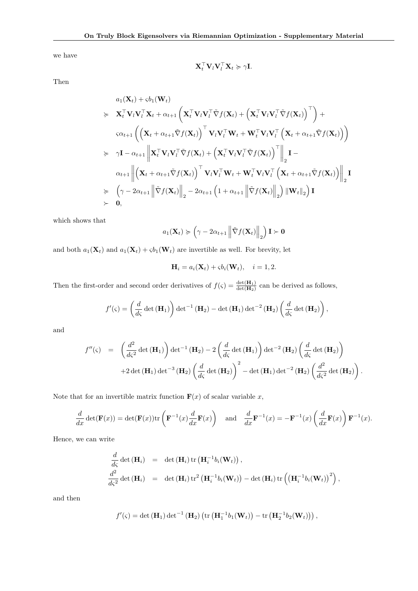we have

$$
\mathbf{X}_t^{\top} \mathbf{V}_l \mathbf{V}_l^{\top} \mathbf{X}_t \succcurlyeq \gamma \mathbf{I}.
$$

Then

$$
a_1(\mathbf{X}_t) + s b_1(\mathbf{W}_t)
$$
\n
$$
\geq \mathbf{X}_t^{\top} \mathbf{V}_l \mathbf{V}_l^{\top} \mathbf{X}_t + \alpha_{t+1} \left( \mathbf{X}_t^{\top} \mathbf{V}_l \mathbf{V}_l^{\top} \tilde{\nabla} f(\mathbf{X}_t) + \left( \mathbf{X}_t^{\top} \mathbf{V}_l \mathbf{V}_l^{\top} \tilde{\nabla} f(\mathbf{X}_t) \right)^{\top} \right) +
$$
\n
$$
s \alpha_{t+1} \left( \left( \mathbf{X}_t + \alpha_{t+1} \tilde{\nabla} f(\mathbf{X}_t) \right)^{\top} \mathbf{V}_l \mathbf{V}_l^{\top} \mathbf{W}_t + \mathbf{W}_t^{\top} \mathbf{V}_l \mathbf{V}_l^{\top} \left( \mathbf{X}_t + \alpha_{t+1} \tilde{\nabla} f(\mathbf{X}_t) \right) \right)
$$
\n
$$
\geq \gamma \mathbf{I} - \alpha_{t+1} \left\| \mathbf{X}_t^{\top} \mathbf{V}_l \mathbf{V}_l^{\top} \tilde{\nabla} f(\mathbf{X}_t) + \left( \mathbf{X}_t^{\top} \mathbf{V}_l \mathbf{V}_l^{\top} \tilde{\nabla} f(\mathbf{X}_t) \right)^{\top} \right\|_2 \mathbf{I} -
$$
\n
$$
\alpha_{t+1} \left\| \left( \mathbf{X}_t + \alpha_{t+1} \tilde{\nabla} f(\mathbf{X}_t) \right)^{\top} \mathbf{V}_l \mathbf{V}_l^{\top} \mathbf{W}_t + \mathbf{W}_t^{\top} \mathbf{V}_l \mathbf{V}_l^{\top} \left( \mathbf{X}_t + \alpha_{t+1} \tilde{\nabla} f(\mathbf{X}_t) \right) \right\|_2 \mathbf{I}
$$
\n
$$
\geq \left( \gamma - 2\alpha_{t+1} \left\| \tilde{\nabla} f(\mathbf{X}_t) \right\|_2 - 2\alpha_{t+1} \left( 1 + \alpha_{t+1} \left\| \tilde{\nabla} f(\mathbf{X}_t) \right\|
$$

which shows that

$$
a_1(\mathbf{X}_t) \succcurlyeq \left(\gamma - 2\alpha_{t+1} \left\| \tilde{\nabla} f(\mathbf{X}_t) \right\|_2 \right) \mathbf{I} \succ \mathbf{0}
$$

and both  $a_1(\mathbf{X}_t)$  and  $a_1(\mathbf{X}_t) + \varsigma b_1(\mathbf{W}_t)$  are invertible as well. For brevity, let

$$
\mathbf{H}_i = a_i(\mathbf{X}_t) + \varsigma b_i(\mathbf{W}_t), \quad i = 1, 2.
$$

Then the first-order and second order derivatives of  $f(\zeta) = \frac{\det(\mathbf{H}_1)}{\det(\mathbf{H}_2)}$  can be derived as follows,

$$
f'(\varsigma) = \left(\frac{d}{d\varsigma} \det\left(\mathbf{H}_1\right)\right) \det^{-1}\left(\mathbf{H}_2\right) - \det\left(\mathbf{H}_1\right) \det^{-2}\left(\mathbf{H}_2\right) \left(\frac{d}{d\varsigma} \det\left(\mathbf{H}_2\right)\right),
$$

and

$$
f''(\varsigma) = \left(\frac{d^2}{d\varsigma^2} \det(\mathbf{H}_1)\right) \det^{-1}(\mathbf{H}_2) - 2\left(\frac{d}{d\varsigma} \det(\mathbf{H}_1)\right) \det^{-2}(\mathbf{H}_2) \left(\frac{d}{d\varsigma} \det(\mathbf{H}_2)\right) + 2 \det(\mathbf{H}_1) \det^{-3}(\mathbf{H}_2) \left(\frac{d}{d\varsigma} \det(\mathbf{H}_2)\right)^2 - \det(\mathbf{H}_1) \det^{-2}(\mathbf{H}_2) \left(\frac{d^2}{d\varsigma^2} \det(\mathbf{H}_2)\right).
$$

Note that for an invertible matrix function  $F(x)$  of scalar variable x,

$$
\frac{d}{dx}\det(\mathbf{F}(x)) = \det(\mathbf{F}(x))\text{tr}\left(\mathbf{F}^{-1}(x)\frac{d}{dx}\mathbf{F}(x)\right) \quad \text{and} \quad \frac{d}{dx}\mathbf{F}^{-1}(x) = -\mathbf{F}^{-1}(x)\left(\frac{d}{dx}\mathbf{F}(x)\right)\mathbf{F}^{-1}(x).
$$

Hence, we can write

$$
\frac{d}{d\varsigma} \det (\mathbf{H}_i) = \det (\mathbf{H}_i) \operatorname{tr} (\mathbf{H}_i^{-1} b_i(\mathbf{W}_t)),
$$
\n
$$
\frac{d^2}{d\varsigma^2} \det (\mathbf{H}_i) = \det (\mathbf{H}_i) \operatorname{tr}^2 (\mathbf{H}_i^{-1} b_i(\mathbf{W}_t)) - \det (\mathbf{H}_i) \operatorname{tr} ((\mathbf{H}_i^{-1} b_i(\mathbf{W}_t))^2),
$$

and then

$$
f'(\varsigma)=\det\left(\mathbf{H}_1\right)\det^{-1}\left(\mathbf{H}_2\right)\left(\mathrm{tr}\left(\mathbf{H}_1^{-1}b_1(\mathbf{W}_t)\right)-\mathrm{tr}\left(\mathbf{H}_2^{-1}b_2(\mathbf{W}_t)\right)\right),\,
$$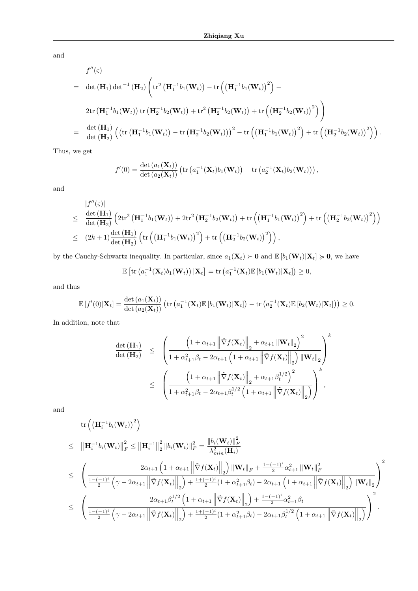and

$$
f''(\varsigma)
$$
\n
$$
= \det(\mathbf{H}_1) \det^{-1}(\mathbf{H}_2) \left( \operatorname{tr}^2 \left( \mathbf{H}_1^{-1} b_1(\mathbf{W}_t) \right) - \operatorname{tr} \left( \left( \mathbf{H}_1^{-1} b_1(\mathbf{W}_t) \right)^2 \right) - \right.
$$
\n
$$
= \operatorname{2tr} \left( \mathbf{H}_1^{-1} b_1(\mathbf{W}_t) \right) \operatorname{tr} \left( \mathbf{H}_2^{-1} b_2(\mathbf{W}_t) \right) + \operatorname{tr}^2 \left( \mathbf{H}_2^{-1} b_2(\mathbf{W}_t) \right) + \operatorname{tr} \left( \left( \mathbf{H}_2^{-1} b_2(\mathbf{W}_t) \right)^2 \right) \right)
$$
\n
$$
= \frac{\det(\mathbf{H}_1)}{\det(\mathbf{H}_2)} \left( \left( \operatorname{tr} \left( \mathbf{H}_1^{-1} b_1(\mathbf{W}_t) \right) - \operatorname{tr} \left( \mathbf{H}_2^{-1} b_2(\mathbf{W}_t) \right) \right)^2 - \operatorname{tr} \left( \left( \mathbf{H}_1^{-1} b_1(\mathbf{W}_t) \right)^2 \right) + \operatorname{tr} \left( \left( \mathbf{H}_2^{-1} b_2(\mathbf{W}_t) \right)^2 \right) \right).
$$

Thus, we get

$$
f'(0) = \frac{\det (a_1(\mathbf{X}_t))}{\det (a_2(\mathbf{X}_t))} \left( \operatorname{tr} (a_1^{-1}(\mathbf{X}_t) b_1(\mathbf{W}_t)) - \operatorname{tr} (a_2^{-1}(\mathbf{X}_t) b_2(\mathbf{W}_t)) \right),
$$

and

$$
\begin{split}\n&\left|f''(\varsigma)\right| \\
&\leq\quad \frac{\det\left(\mathbf{H}_1\right)}{\det\left(\mathbf{H}_2\right)}\left(2\mathrm{tr}^2\left(\mathbf{H}_1^{-1}b_1(\mathbf{W}_t)\right)+2\mathrm{tr}^2\left(\mathbf{H}_2^{-1}b_2(\mathbf{W}_t)\right)+\mathrm{tr}\left(\left(\mathbf{H}_1^{-1}b_1(\mathbf{W}_t)\right)^2\right)+\mathrm{tr}\left(\left(\mathbf{H}_2^{-1}b_2(\mathbf{W}_t)\right)^2\right)\right) \\
&\leq\quad (2k+1)\frac{\det\left(\mathbf{H}_1\right)}{\det\left(\mathbf{H}_2\right)}\left(\mathrm{tr}\left(\left(\mathbf{H}_1^{-1}b_1(\mathbf{W}_t)\right)^2\right)+\mathrm{tr}\left(\left(\mathbf{H}_2^{-1}b_2(\mathbf{W}_t)\right)^2\right)\right),\n\end{split}
$$

by the Cauchy-Schwartz inequality. In particular, since  $a_1(\mathbf{X}_t) \succ \mathbf{0}$  and  $\mathbb{E}[b_1(\mathbf{W}_t)|\mathbf{X}_t] \succcurlyeq \mathbf{0}$ , we have

$$
\mathbb{E}\left[\mathrm{tr}\left(a_1^{-1}(\mathbf{X}_t)b_1(\mathbf{W}_t)\right)|\mathbf{X}_t\right] = \mathrm{tr}\left(a_1^{-1}(\mathbf{X}_t)\mathbb{E}\left[b_1(\mathbf{W}_t)|\mathbf{X}_t\right]\right) \geq 0,
$$

and thus

$$
\mathbb{E}\left[f'(0)|\mathbf{X}_t\right] = \frac{\det\left(a_1(\mathbf{X}_t)\right)}{\det\left(a_2(\mathbf{X}_t)\right)}\left(\text{tr}\left(a_1^{-1}(\mathbf{X}_t)\mathbb{E}\left[b_1(\mathbf{W}_t)|\mathbf{X}_t\right]\right) - \text{tr}\left(a_2^{-1}(\mathbf{X}_t)\mathbb{E}\left[b_2(\mathbf{W}_t)|\mathbf{X}_t\right]\right)\right) \geq 0.
$$

In addition, note that

$$
\frac{\det\left(\mathbf{H}_{1}\right)}{\det\left(\mathbf{H}_{2}\right)} \leq \left(\frac{\left(1+\alpha_{t+1}\left\|\tilde{\nabla}f(\mathbf{X}_{t})\right\|_{2}+\alpha_{t+1}\left\|\mathbf{W}_{t}\right\|_{2}\right)^{2}}{1+\alpha_{t+1}^{2}\beta_{t}-2\alpha_{t+1}\left(1+\alpha_{t+1}\left\|\tilde{\nabla}f(\mathbf{X}_{t})\right\|_{2}\right)\left\|\mathbf{W}_{t}\right\|_{2}}\right)^{k} \leq \left(\frac{\left(1+\alpha_{t+1}\left\|\tilde{\nabla}f(\mathbf{X}_{t})\right\|_{2}+\alpha_{t+1}\beta_{t}^{1/2}\right)^{2}}{1+\alpha_{t+1}^{2}\beta_{t}-2\alpha_{t+1}\beta_{t}^{1/2}\left(1+\alpha_{t+1}\left\|\tilde{\nabla}f(\mathbf{X}_{t})\right\|_{2}\right)}\right)^{k},
$$

and

$$
\operatorname{tr}\left(\left(\mathbf{H}_{i}^{-1}b_{i}(\mathbf{W}_{t})\right)^{2}\right) \n\leq \|\mathbf{H}_{i}^{-1}b_{i}(\mathbf{W}_{t})\|_{F}^{2} \leq \|\mathbf{H}_{i}^{-1}\|_{2}^{2} \|b_{i}(\mathbf{W}_{t})\|_{F}^{2} = \frac{\|b_{i}(\mathbf{W}_{t})\|_{F}^{2}}{\lambda_{min}^{2}(\mathbf{H}_{i})} \n\leq \left(\frac{2\alpha_{t+1}\left(1+\alpha_{t+1}\left\|\tilde{\nabla}f(\mathbf{X}_{t})\right\|_{2}\right)\|\mathbf{W}_{t}\|_{F} + \frac{1-(-1)^{i}}{2}\alpha_{t+1}^{2}\|\mathbf{W}_{t}\|_{F}^{2}}{\frac{1-(-1)^{i}}{2}\left(\gamma-2\alpha_{t+1}\left\|\tilde{\nabla}f(\mathbf{X}_{t})\right\|_{2}\right) + \frac{1+(-1)^{i}}{2}(1+\alpha_{t+1}^{2}\beta_{t}) - 2\alpha_{t+1}\left(1+\alpha_{t+1}\left\|\tilde{\nabla}f(\mathbf{X}_{t})\right\|_{2}\right)\|\mathbf{W}_{t}\|_{2}\right)}{2\alpha_{t+1}\beta_{t}^{1/2}\left(1+\alpha_{t+1}\left\|\tilde{\nabla}f(\mathbf{X}_{t})\right\|_{2}\right) + \frac{1-(-1)^{i}}{2}\alpha_{t+1}^{2}\beta_{t}} \n\leq \left(\frac{2\alpha_{t+1}\beta_{t}^{1/2}\left(1+\alpha_{t+1}\left\|\tilde{\nabla}f(\mathbf{X}_{t})\right\|_{2}\right) + \frac{1-(-1)^{i}}{2}\alpha_{t+1}^{2}\beta_{t}}{\frac{1-(-1)^{i}}{2}\left(\gamma-2\alpha_{t+1}\left\|\tilde{\nabla}f(\mathbf{X}_{t})\right\|_{2}\right) + \frac{1+(-1)^{i}}{2}(1+\alpha_{t+1}^{2}\beta_{t}) - 2\alpha_{t+1}\beta_{t}^{1/2}\left(1+\alpha_{t+1}\left\|\tilde{\nabla}f(\mathbf{X}_{t})\right\|_{2}\right)}{\gamma}\right)^{2}.
$$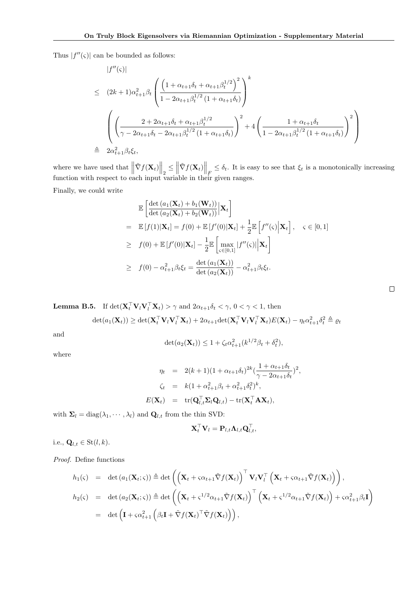Thus  $|f''(\varsigma)|$  can be bounded as follows:

$$
|f''(\varsigma)|
$$
  
\n
$$
\leq (2k+1)\alpha_{t+1}^{2}\beta_{t} \left( \frac{\left(1 + \alpha_{t+1}\delta_{t} + \alpha_{t+1}\beta_{t}^{1/2}\right)^{2}}{1 - 2\alpha_{t+1}\beta_{t}^{1/2} (1 + \alpha_{t+1}\delta_{t})} \right)^{k}
$$
  
\n
$$
\left( \left(\frac{2 + 2\alpha_{t+1}\delta_{t} + \alpha_{t+1}\beta_{t}^{1/2}}{\gamma - 2\alpha_{t+1}\delta_{t} - 2\alpha_{t+1}\beta_{t}^{1/2} (1 + \alpha_{t+1}\delta_{t})} \right)^{2} + 4\left(\frac{1 + \alpha_{t+1}\delta_{t}}{1 - 2\alpha_{t+1}\beta_{t}^{1/2} (1 + \alpha_{t+1}\delta_{t})} \right)^{2} \right)
$$
  
\n
$$
\triangleq 2\alpha_{t+1}^{2}\beta_{t}\xi_{t},
$$

where we have used that  $\left\|\tilde{\nabla}f(\mathbf{X}_t)\right\|_2 \le \left\|\tilde{\nabla}f(\mathbf{X}_t)\right\|_F \le \delta_t$ . It is easy to see that  $\xi_t$  is a monotonically increasing function with respect to each input variable in their given ranges.

Finally, we could write

$$
\mathbb{E}\left[\frac{\det\left(a_1(\mathbf{X}_t) + b_1(\mathbf{W}_t)\right)}{\det\left(a_2(\mathbf{X}_t) + b_2(\mathbf{W}_t)\right)}\Big|\mathbf{X}_t\right]
$$
\n
$$
= \mathbb{E}\left[f(1)|\mathbf{X}_t\right] = f(0) + \mathbb{E}\left[f'(0)|\mathbf{X}_t\right] + \frac{1}{2}\mathbb{E}\left[f''(\varsigma)\Big|\mathbf{X}_t\right], \quad \varsigma \in [0, 1]
$$
\n
$$
\geq f(0) + \mathbb{E}\left[f'(0)|\mathbf{X}_t\right] - \frac{1}{2}\mathbb{E}\left[\max_{\varsigma \in [0, 1]}|f''(\varsigma)|\Big|\mathbf{X}_t\right]
$$
\n
$$
\geq f(0) - \alpha_{t+1}^2 \beta_t \xi_t = \frac{\det\left(a_1(\mathbf{X}_t)\right)}{\det\left(a_2(\mathbf{X}_t)\right)} - \alpha_{t+1}^2 \beta_t \xi_t.
$$

**Lemma B.5.** If  $\det(\mathbf{X}_t^\top \mathbf{V}_l \mathbf{V}_l^\top \mathbf{X}_t) > \gamma$  and  $2\alpha_{t+1}\delta_t < \gamma$ ,  $0 < \gamma < 1$ , then

$$
\det(a_1(\mathbf{X}_t)) \geq \det(\mathbf{X}_t^\top \mathbf{V}_l \mathbf{V}_l^\top \mathbf{X}_t) + 2\alpha_{t+1} \det(\mathbf{X}_t^\top \mathbf{V}_l \mathbf{V}_l^\top \mathbf{X}_t) E(\mathbf{X}_t) - \eta_t \alpha_{t+1}^2 \delta_t^2 \triangleq \varrho_t
$$

and

$$
\det(a_2(\mathbf{X}_t)) \le 1 + \zeta_t \alpha_{t+1}^2 (k^{1/2} \beta_t + \delta_t^2),
$$

where

$$
\eta_t = 2(k+1)(1+\alpha_{t+1}\delta_t)^{2k}(\frac{1+\alpha_{t+1}\delta_t}{\gamma-2\alpha_{t+1}\delta_t})^2,
$$
  
\n
$$
\zeta_t = k(1+\alpha_{t+1}^2\beta_t+\alpha_{t+1}^2\delta_t^2)^k,
$$
  
\n
$$
E(\mathbf{X}_t) = \text{tr}(\mathbf{Q}_{l,t}^\top \Sigma_l \mathbf{Q}_{l,t}) - \text{tr}(\mathbf{X}_t^\top \mathbf{A} \mathbf{X}_t),
$$

with  $\Sigma_l = \text{diag}(\lambda_1, \dots, \lambda_l)$  and  $\mathbf{Q}_{l,t}$  from the thin SVD:

$$
\mathbf{X}_t^{\top}\mathbf{V}_l = \mathbf{P}_{l,t}\mathbf{\Lambda}_{l,t}\mathbf{Q}_{l,t}^{\top},
$$

i.e.,  $\mathbf{Q}_{l,t} \in \text{St}(l,k)$ .

Proof. Define functions

$$
h_1(\varsigma) = \det (a_1(\mathbf{X}_t; \varsigma)) \triangleq \det \left( \left( \mathbf{X}_t + \varsigma \alpha_{t+1} \tilde{\nabla} f(\mathbf{X}_t) \right)^\top \mathbf{V}_l \mathbf{V}_l^\top \left( \mathbf{X}_t + \varsigma \alpha_{t+1} \tilde{\nabla} f(\mathbf{X}_t) \right) \right),
$$
  
\n
$$
h_2(\varsigma) = \det (a_2(\mathbf{X}_t; \varsigma)) \triangleq \det \left( \left( \mathbf{X}_t + \varsigma^{1/2} \alpha_{t+1} \tilde{\nabla} f(\mathbf{X}_t) \right)^\top \left( \mathbf{X}_t + \varsigma^{1/2} \alpha_{t+1} \tilde{\nabla} f(\mathbf{X}_t) \right) + \varsigma \alpha_{t+1}^2 \beta_t \mathbf{I} \right)
$$
  
\n
$$
= \det \left( \mathbf{I} + \varsigma \alpha_{t+1}^2 \left( \beta_t \mathbf{I} + \tilde{\nabla} f(\mathbf{X}_t)^\top \tilde{\nabla} f(\mathbf{X}_t) \right) \right),
$$

 $\Box$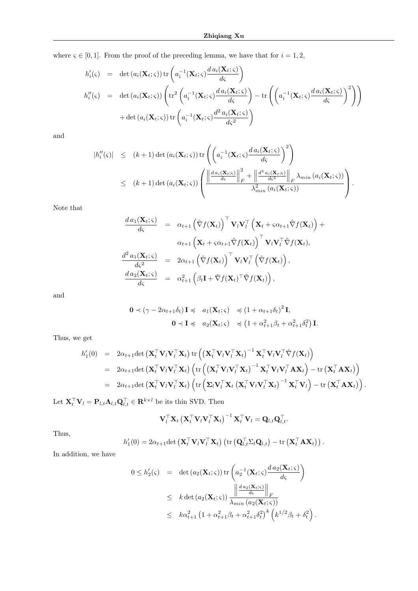where  $\varsigma \in [0,1]$ . From the proof of the preceding lemma, we have that for  $i = 1, 2$ ,

$$
h'_{i}(\varsigma) = \det (a_{i}(\mathbf{X}_{t};\varsigma)) \operatorname{tr} \left( a_{i}^{-1}(\mathbf{X}_{t};\varsigma) \frac{d a_{i}(\mathbf{X}_{t};\varsigma)}{d\varsigma} \right)
$$
  
\n
$$
h''_{i}(\varsigma) = \det (a_{i}(\mathbf{X}_{t};\varsigma)) \left( \operatorname{tr}^{2} \left( a_{i}^{-1}(\mathbf{X}_{t};\varsigma) \frac{d a_{i}(\mathbf{X}_{t};\varsigma)}{d\varsigma} \right) - \operatorname{tr} \left( \left( a_{i}^{-1}(\mathbf{X}_{t};\varsigma) \frac{d a_{i}(\mathbf{X}_{t};\varsigma)}{d\varsigma} \right)^{2} \right) \right)
$$
  
\n
$$
+ \det (a_{i}(\mathbf{X}_{t};\varsigma)) \operatorname{tr} \left( a_{i}^{-1}(\mathbf{X}_{t};\varsigma) \frac{d^{2} a_{i}(\mathbf{X}_{t};\varsigma)}{d\varsigma^{2}} \right)
$$

and

$$
|h''_i(\varsigma)| \leq (k+1) \det(a_i(\mathbf{X}_t; \varsigma)) \operatorname{tr} \left( \left( a_i^{-1}(\mathbf{X}_t; \varsigma) \frac{d a_i(\mathbf{X}_t; \varsigma)}{d\varsigma} \right)^2 \right)
$$
  
 
$$
\leq (k+1) \det(a_i(\mathbf{X}_t; \varsigma)) \left( \frac{\left\| \frac{d a_i(\mathbf{X}_t; \varsigma)}{d\varsigma} \right\|_F^2 + \left\| \frac{d^2 a_i(\mathbf{X}_t; \varsigma)}{d\varsigma^2} \right\|_F \lambda_{min}(a_i(\mathbf{X}_t; \varsigma))}{\lambda_{min}^2(a_i(\mathbf{X}_t; \varsigma))} \right).
$$

Note that

$$
\frac{d a_1(\mathbf{X}_t; \varsigma)}{d \varsigma} = \alpha_{t+1} (\tilde{\nabla} f(\mathbf{X}_t))^\top \mathbf{V}_l \mathbf{V}_l^\top (\mathbf{X}_t + \varsigma \alpha_{t+1} \tilde{\nabla} f(\mathbf{X}_t)) +
$$
\n
$$
\alpha_{t+1} (\mathbf{X}_t + \varsigma \alpha_{t+1} \tilde{\nabla} f(\mathbf{X}_t))^\top \mathbf{V}_l \mathbf{V}_l^\top \tilde{\nabla} f(\mathbf{X}_t),
$$
\n
$$
\frac{d^2 a_1(\mathbf{X}_t; \varsigma)}{d \varsigma^2} = 2\alpha_{t+1} (\tilde{\nabla} f(\mathbf{X}_t))^\top \mathbf{V}_l \mathbf{V}_l^\top (\tilde{\nabla} f(\mathbf{X}_t)),
$$
\n
$$
\frac{d a_2(\mathbf{X}_t; \varsigma)}{d \varsigma} = \alpha_{t+1}^2 (\beta_t \mathbf{I} + \tilde{\nabla} f(\mathbf{X}_t)^\top \tilde{\nabla} f(\mathbf{X}_t)),
$$

and

$$
\mathbf{0} \prec (\gamma - 2\alpha_{t+1}\delta_t) \mathbf{I} \preccurlyeq a_1(\mathbf{X}_t; \varsigma) \preccurlyeq (1 + \alpha_{t+1}\delta_t)^2 \mathbf{I},
$$
  

$$
\mathbf{0} \prec \mathbf{I} \preccurlyeq a_2(\mathbf{X}_t; \varsigma) \preccurlyeq (1 + \alpha_{t+1}^2 \beta_t + \alpha_{t+1}^2 \delta_t^2) \mathbf{I}.
$$

Thus, we get

$$
h'_1(0) = 2\alpha_{t+1}\det\left(\mathbf{X}_t^\top\mathbf{V}_l\mathbf{V}_l^\top\mathbf{X}_t\right) \operatorname{tr}\left(\left(\mathbf{X}_t^\top\mathbf{V}_l\mathbf{V}_l^\top\mathbf{X}_t\right)^{-1}\mathbf{X}_t^\top\mathbf{V}_l\mathbf{V}_l^\top\tilde{\nabla}f(\mathbf{X}_t)\right) = 2\alpha_{t+1}\det\left(\mathbf{X}_t^\top\mathbf{V}_l\mathbf{V}_l^\top\mathbf{X}_t\right)\left(\operatorname{tr}\left(\left(\mathbf{X}_t^\top\mathbf{V}_l\mathbf{V}_l^\top\mathbf{X}_t\right)^{-1}\mathbf{X}_t^\top\mathbf{V}_l\mathbf{V}_l^\top\mathbf{A}\mathbf{X}_t\right) - \operatorname{tr}\left(\mathbf{X}_t^\top\mathbf{A}\mathbf{X}_t\right)\right) = 2\alpha_{t+1}\det\left(\mathbf{X}_t^\top\mathbf{V}_l\mathbf{V}_l^\top\mathbf{X}_t\right)\left(\operatorname{tr}\left(\mathbf{\Sigma}_l\mathbf{V}_l^\top\mathbf{X}_t\left(\mathbf{X}_t^\top\mathbf{V}_l\mathbf{V}_l^\top\mathbf{X}_t\right)^{-1}\mathbf{X}_t^\top\mathbf{V}_l\right) - \operatorname{tr}\left(\mathbf{X}_t^\top\mathbf{A}\mathbf{X}_t\right)\right).
$$

Let  $\mathbf{X}_t^{\top} \mathbf{V}_l = \mathbf{P}_{l,t} \mathbf{\Lambda}_{l,t} \mathbf{Q}_{l,t}^{\top} \in \mathbf{R}^{k \times l}$  be its thin SVD. Then

$$
\mathbf{V}_{l}^{\top} \mathbf{X}_{t} \left( \mathbf{X}_{t}^{\top} \mathbf{V}_{l} \mathbf{V}_{l}^{\top} \mathbf{X}_{t} \right)^{-1} \mathbf{X}_{t}^{\top} \mathbf{V}_{l} = \mathbf{Q}_{l,t} \mathbf{Q}_{l,t}^{\top}.
$$

Thus,

$$
h'_1(0) = 2\alpha_{t+1} \det \left( \mathbf{X}_t^\top \mathbf{V}_l \mathbf{V}_l^\top \mathbf{X}_t \right) \left( \operatorname{tr} \left( \mathbf{Q}_{l,t}^\top \Sigma_l \mathbf{Q}_{l,t} \right) - \operatorname{tr} \left( \mathbf{X}_t^\top \mathbf{A} \mathbf{X}_t \right) \right).
$$

In addition, we have

$$
0 \leq h'_{2}(\varsigma) = \det (a_{2}(\mathbf{X}_{t};\varsigma)) \operatorname{tr} \left( a_{2}^{-1}(\mathbf{X}_{t};\varsigma) \frac{d a_{2}(\mathbf{X}_{t};\varsigma)}{d \varsigma} \right)
$$
  
 
$$
\leq k \det (a_{2}(\mathbf{X}_{t};\varsigma)) \frac{\left\| \frac{d a_{2}(\mathbf{X}_{t};\varsigma)}{d \varsigma} \right\|_{F}}{\lambda_{min} (a_{2}(\mathbf{X}_{t};\varsigma))}
$$
  
 
$$
\leq k \alpha_{t+1}^{2} \left( 1 + \alpha_{t+1}^{2} \beta_{t} + \alpha_{t+1}^{2} \delta_{t}^{2} \right)^{k} \left( k^{1/2} \beta_{t} + \delta_{t}^{2} \right).
$$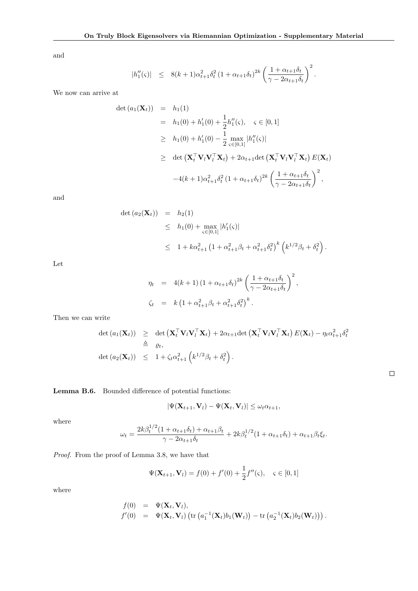and

$$
|h''_1(\varsigma)| \leq 8(k+1)\alpha_{t+1}^2 \delta_t^2 (1+\alpha_{t+1}\delta_t)^{2k} \left(\frac{1+\alpha_{t+1}\delta_t}{\gamma-2\alpha_{t+1}\delta_t}\right)^2.
$$

We now can arrive at

$$
\begin{array}{rcl}\n\det (a_1(\mathbf{X}_t)) & = & h_1(1) \\
& = & h_1(0) + h_1'(0) + \frac{1}{2}h_1''(\varsigma), \quad \varsigma \in [0, 1] \\
& \geq & h_1(0) + h_1'(0) - \frac{1}{2} \max_{\varsigma \in [0, 1]} |h_1''(\varsigma)| \\
& \geq & \det \left( \mathbf{X}_t^\top \mathbf{V}_l \mathbf{V}_l^\top \mathbf{X}_t \right) + 2\alpha_{t+1} \det \left( \mathbf{X}_t^\top \mathbf{V}_l \mathbf{V}_l^\top \mathbf{X}_t \right) E(\mathbf{X}_t) \\
& \quad - 4(k+1)\alpha_{t+1}^2 \delta_t^2 \left( 1 + \alpha_{t+1} \delta_t \right)^{2k} \left( \frac{1 + \alpha_{t+1} \delta_t}{\gamma - 2\alpha_{t+1} \delta_t} \right)^2,\n\end{array}
$$

and

$$
\begin{array}{rcl}\n\det (a_2(\mathbf{X}_t)) & = & h_2(1) \\
& \leq & h_1(0) + \max_{\varsigma \in [0,1]} |h_1'(\varsigma)| \\
& \leq & 1 + k\alpha_{t+1}^2 \left(1 + \alpha_{t+1}^2 \beta_t + \alpha_{t+1}^2 \delta_t^2\right)^k \left(k^{1/2}\beta_t + \delta_t^2\right).\n\end{array}
$$

Let

$$
\eta_t = 4(k+1) (1 + \alpha_{t+1} \delta_t)^{2k} \left( \frac{1 + \alpha_{t+1} \delta_t}{\gamma - 2\alpha_{t+1} \delta_t} \right)^2,
$$
  

$$
\zeta_t = k \left( 1 + \alpha_{t+1}^2 \beta_t + \alpha_{t+1}^2 \delta_t^2 \right)^k.
$$

Then we can write

$$
\det (a_1(\mathbf{X}_t)) \geq \det (\mathbf{X}_t^{\top} \mathbf{V}_l \mathbf{V}_l^{\top} \mathbf{X}_t) + 2\alpha_{t+1} \det (\mathbf{X}_t^{\top} \mathbf{V}_l \mathbf{V}_l^{\top} \mathbf{X}_t) E(\mathbf{X}_t) - \eta_t \alpha_{t+1}^2 \delta_t^2
$$
\n
$$
\triangleq \varrho_t,
$$
\n
$$
\det (a_2(\mathbf{X}_t)) \leq 1 + \zeta_t \alpha_{t+1}^2 \left( k^{1/2} \beta_t + \delta_t^2 \right).
$$

Lemma B.6. Bounded difference of potential functions:

$$
|\Psi(\mathbf{X}_{t+1},\mathbf{V}_l)-\Psi(\mathbf{X}_t,\mathbf{V}_l)|\leq \omega_t\alpha_{t+1},
$$

where

$$
\omega_t = \frac{2k\beta_t^{1/2}(1+\alpha_{t+1}\delta_t) + \alpha_{t+1}\beta_t}{\gamma - 2\alpha_{t+1}\delta_t} + 2k\beta_t^{1/2}(1+\alpha_{t+1}\delta_t) + \alpha_{t+1}\beta_t\xi_t.
$$

Proof. From the proof of Lemma 3.8, we have that

$$
\Psi(\mathbf{X}_{t+1}, \mathbf{V}_l) = f(0) + f'(0) + \frac{1}{2}f''(\varsigma), \quad \varsigma \in [0, 1]
$$

where

$$
f(0) = \Psi(\mathbf{X}_t, \mathbf{V}_l),
$$
  
\n
$$
f'(0) = \Psi(\mathbf{X}_t, \mathbf{V}_l) (\text{tr} (a_1^{-1}(\mathbf{X}_t)b_1(\mathbf{W}_t)) - \text{tr} (a_2^{-1}(\mathbf{X}_t)b_2(\mathbf{W}_t))).
$$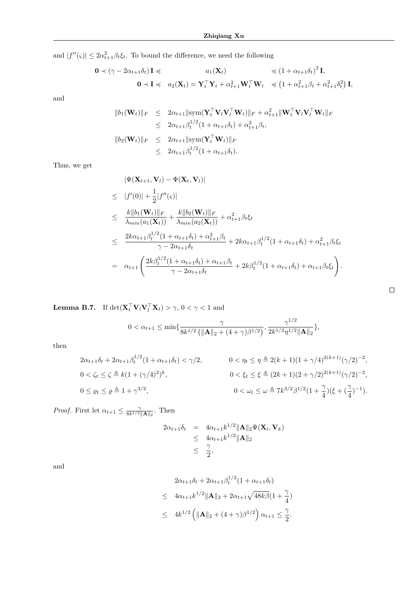and  $|f''(\varsigma)| \leq 2\alpha_{t+1}^2 \beta_t \xi_t$ . To bound the difference, we need the following

$$
\begin{aligned}\n\mathbf{0} &\prec (\gamma - 2\alpha_{t+1}\delta_t) \mathbf{I} \preccurlyeq & a_1(\mathbf{X}_t) &\preccurlyeq (1 + \alpha_{t+1}\delta_t)^2 \mathbf{I}, \\
\mathbf{0} &\prec \mathbf{I} \preccurlyeq & a_2(\mathbf{X}_t) = \mathbf{Y}_t^\top \mathbf{Y}_t + \alpha_{t+1}^2 \mathbf{W}_t^\top \mathbf{W}_t &\preccurlyeq (1 + \alpha_{t+1}^2 \beta_t + \alpha_{t+1}^2 \delta_t^2) \mathbf{I},\n\end{aligned}
$$

and

$$
||b_1(\mathbf{W}_t)||_F \le 2\alpha_{t+1} ||\text{sym}(\mathbf{Y}_t^\top \mathbf{V}_l \mathbf{V}_l^\top \mathbf{W}_t)||_F + \alpha_{t+1}^2 ||\mathbf{W}_t^\top \mathbf{V}_l \mathbf{V}_l^\top \mathbf{W}_t||_F
$$
  
\n
$$
\le 2\alpha_{t+1}\beta_t^{1/2} (1 + \alpha_{t+1}\delta_t) + \alpha_{t+1}^2 \beta_t,
$$
  
\n
$$
||b_2(\mathbf{W}_t)||_F \le 2\alpha_{t+1} ||\text{sym}(\mathbf{Y}_t^\top \mathbf{W}_t)||_F
$$
  
\n
$$
\le 2\alpha_{t+1}\beta_t^{1/2} (1 + \alpha_{t+1}\delta_t).
$$

Thus, we get

$$
|\Psi(\mathbf{X}_{t+1}, \mathbf{V}_{l}) - \Psi(\mathbf{X}_{t}, \mathbf{V}_{l})|
$$
  
\n
$$
\leq |f'(0)| + \frac{1}{2}|f''(\varsigma)|
$$
  
\n
$$
\leq \frac{k||b_1(\mathbf{W}_{t})||_F}{\lambda_{min}(a_1(\mathbf{X}_{t}))} + \frac{k||b_2(\mathbf{W}_{t})||_F}{\lambda_{min}(a_2(\mathbf{X}_{t}))} + \alpha_{t+1}^2 \beta_t \xi_t
$$
  
\n
$$
\leq \frac{2k\alpha_{t+1}\beta_t^{1/2}(1 + \alpha_{t+1}\delta_t) + \alpha_{t+1}^2 \beta_t}{\gamma - 2\alpha_{t+1}\delta_t} + 2k\alpha_{t+1}\beta_t^{1/2}(1 + \alpha_{t+1}\delta_t) + \alpha_{t+1}^2 \beta_t \xi_t
$$
  
\n
$$
= \alpha_{t+1} \left( \frac{2k\beta_t^{1/2}(1 + \alpha_{t+1}\delta_t) + \alpha_{t+1}\beta_t}{\gamma - 2\alpha_{t+1}\delta_t} + 2k\beta_t^{1/2}(1 + \alpha_{t+1}\delta_t) + \alpha_{t+1}\beta_t \xi_t \right).
$$

**Lemma B.7.** If  $\det(\mathbf{X}_t^\top \mathbf{V}_l \mathbf{V}_l^\top \mathbf{X}_t) > \gamma$ ,  $0 < \gamma < 1$  and

$$
0 < \alpha_{t+1} \le \min\{\frac{\gamma}{8k^{1/2} \left(\|\mathbf{A}\|_2 + (4+\gamma)\beta^{1/2}\right)}, \frac{\gamma^{1/2}}{2k^{1/2}\eta^{1/2} \|\mathbf{A}\|_2}\},\
$$

then

$$
2\alpha_{t+1}\delta_t + 2\alpha_{t+1}\beta_t^{1/2}(1 + \alpha_{t+1}\delta_t) < \gamma/2, \qquad 0 < \eta_t \le \eta \triangleq 2(k+1)(1 + \gamma/4)^{2(k+1)}(\gamma/2)^{-2},
$$
\n
$$
0 < \zeta_t \le \zeta \triangleq k(1 + (\gamma/4)^2)^k, \qquad 0 < \xi_t \le \xi \triangleq (2k+1)(2 + \gamma/2)^{2(k+1)}(\gamma/2)^{-2},
$$
\n
$$
0 < \omega_t \le \omega \triangleq 7k^{3/2}\beta^{1/2}(1 + \frac{\gamma}{4})(\xi + (\frac{\gamma}{4})^{-1}).
$$

*Proof.* First let  $\alpha_{t+1} \leq \frac{\gamma}{8k^{1/2} ||\mathbf{A}||_2}$ . Then

$$
2\alpha_{t+1}\delta_t = 4\alpha_{t+1}k^{1/2} \|\mathbf{A}\|_2 \Psi(\mathbf{X}_t, \mathbf{V}_k)
$$
  
\n
$$
\leq 4\alpha_{t+1}k^{1/2} \|\mathbf{A}\|_2
$$
  
\n
$$
\leq \frac{\gamma}{2},
$$

and

$$
2\alpha_{t+1}\delta_t + 2\alpha_{t+1}\beta_t^{1/2}(1 + \alpha_{t+1}\delta_t)
$$
  
\n
$$
\leq 4\alpha_{t+1}k^{1/2} \|\mathbf{A}\|_2 + 2\alpha_{t+1}\sqrt{48k\beta}(1 + \frac{\gamma}{4})
$$
  
\n
$$
\leq 4k^{1/2} \left( \|\mathbf{A}\|_2 + (4 + \gamma)\beta^{1/2} \right) \alpha_{t+1} \leq \frac{\gamma}{2}.
$$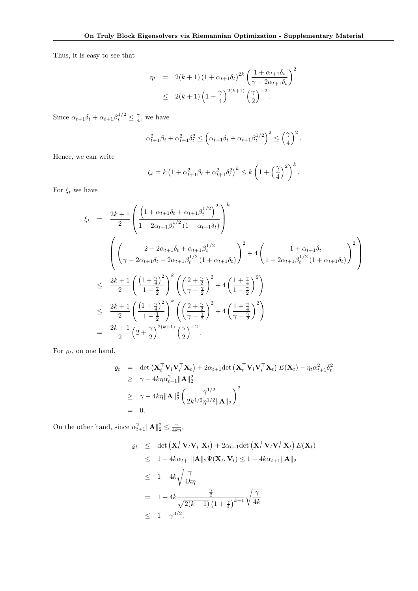Thus, it is easy to see that

$$
\eta_t = 2(k+1) \left(1 + \alpha_{t+1} \delta_t\right)^{2k} \left(\frac{1 + \alpha_{t+1} \delta_t}{\gamma - 2\alpha_{t+1} \delta_t}\right)^2
$$
  
 
$$
\leq 2(k+1) \left(1 + \frac{\gamma}{4}\right)^{2(k+1)} \left(\frac{\gamma}{2}\right)^{-2}.
$$

Since  $\alpha_{t+1}\delta_t + \alpha_{t+1}\beta_t^{1/2} \leq \frac{\gamma}{4}$ , we have

$$
\alpha_{t+1}^2 \beta_t + \alpha_{t+1}^2 \delta_t^2 \le \left(\alpha_{t+1} \delta_t + \alpha_{t+1} \beta_t^{1/2}\right)^2 \le \left(\frac{\gamma}{4}\right)^2.
$$

Hence, we can write

$$
\zeta_t = k \left( 1 + \alpha_{t+1}^2 \beta_t + \alpha_{t+1}^2 \delta_t^2 \right)^k \le k \left( 1 + \left( \frac{\gamma}{4} \right)^2 \right)^k.
$$

For  $\xi_t$  we have

$$
\xi_{t} = \frac{2k+1}{2} \left( \frac{\left(1+\alpha_{t+1}\delta_{t} + \alpha_{t+1}\beta_{t}^{1/2}\right)^{2}}{1-2\alpha_{t+1}\beta_{t}^{1/2} (1+\alpha_{t+1}\delta_{t})} \right)^{k}
$$
\n
$$
\left( \left(\frac{2+2\alpha_{t+1}\delta_{t} + \alpha_{t+1}\beta_{t}^{1/2}}{\gamma - 2\alpha_{t+1}\delta_{t} - 2\alpha_{t+1}\beta_{t}^{1/2} (1+\alpha_{t+1}\delta_{t})}\right)^{2} + 4\left(\frac{1+\alpha_{t+1}\delta_{t}}{1-2\alpha_{t+1}\beta_{t}^{1/2} (1+\alpha_{t+1}\delta_{t})}\right)^{2} \right)
$$
\n
$$
\leq \frac{2k+1}{2} \left( \frac{\left(1+\frac{\gamma}{4}\right)^{2}}{1-\frac{\gamma}{2}} \right)^{k} \left( \left(\frac{2+\frac{\gamma}{2}}{\gamma - \frac{\gamma}{2}}\right)^{2} + 4\left(\frac{1+\frac{\gamma}{4}}{1-\frac{\gamma}{2}}\right)^{2} \right)
$$
\n
$$
\leq \frac{2k+1}{2} \left( \frac{\left(1+\frac{\gamma}{4}\right)^{2}}{1-\frac{1}{2}} \right)^{k} \left( \left(\frac{2+\frac{\gamma}{2}}{\gamma - \frac{\gamma}{2}}\right)^{2} + 4\left(\frac{1+\frac{\gamma}{4}}{\gamma - \frac{\gamma}{2}}\right)^{2} \right)
$$
\n
$$
= \frac{2k+1}{2} \left(2+\frac{\gamma}{2}\right)^{2(k+1)} \left(\frac{\gamma}{2}\right)^{-2}.
$$

For  $\varrho_t$ , on one hand,

$$
Q_t = \det (\mathbf{X}_t^\top \mathbf{V}_l \mathbf{V}_l^\top \mathbf{X}_t) + 2\alpha_{t+1} \det (\mathbf{X}_t^\top \mathbf{V}_l \mathbf{V}_l^\top \mathbf{X}_t) E(\mathbf{X}_t) - \eta_t \alpha_{t+1}^2 \delta_t^2
$$
  
\n
$$
\geq \gamma - 4k \eta \alpha_{t+1}^2 \|\mathbf{A}\|_2^2
$$
  
\n
$$
\geq \gamma - 4k \eta \|\mathbf{A}\|_2^2 \left(\frac{\gamma^{1/2}}{2k^{1/2} \eta^{1/2} \|\mathbf{A}\|_2}\right)^2
$$
  
\n= 0.

On the other hand, since  $\alpha_{t+1}^2 ||\mathbf{A}||_2^2 \leq \frac{\gamma}{4k\eta}$ ,

$$
\varrho_t \leq \det \left( \mathbf{X}_t^{\top} \mathbf{V}_l \mathbf{V}_l^{\top} \mathbf{X}_t \right) + 2\alpha_{t+1} \det \left( \mathbf{X}_t^{\top} \mathbf{V}_l \mathbf{V}_l^{\top} \mathbf{X}_t \right) E(\mathbf{X}_t)
$$
\n
$$
\leq 1 + 4k\alpha_{t+1} \|\mathbf{A}\|_2 \Psi(\mathbf{X}_t, \mathbf{V}_l) \leq 1 + 4k\alpha_{t+1} \|\mathbf{A}\|_2
$$
\n
$$
\leq 1 + 4k \sqrt{\frac{\gamma}{4k\eta}}
$$
\n
$$
= 1 + 4k \frac{\frac{\gamma}{2}}{\sqrt{2(k+1)}} \frac{\gamma}{\left(1 + \frac{\gamma}{4}\right)^{k+1}} \sqrt{\frac{\gamma}{4k}}
$$
\n
$$
\leq 1 + \gamma^{3/2}.
$$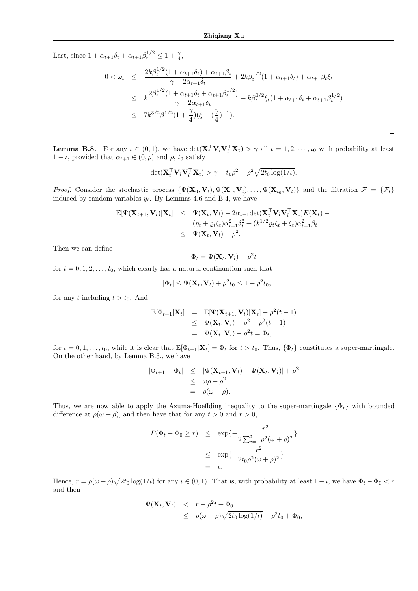Last, since  $1 + \alpha_{t+1}\delta_t + \alpha_{t+1}\beta_t^{1/2} \le 1 + \frac{\gamma}{4}$ ,

$$
0 < \omega_t \leq \frac{2k\beta_t^{1/2}(1 + \alpha_{t+1}\delta_t) + \alpha_{t+1}\beta_t}{\gamma - 2\alpha_{t+1}\delta_t} + 2k\beta_t^{1/2}(1 + \alpha_{t+1}\delta_t) + \alpha_{t+1}\beta_t\xi_t
$$
  

$$
\leq k\frac{2\beta_t^{1/2}(1 + \alpha_{t+1}\delta_t + \alpha_{t+1}\beta_t^{1/2})}{\gamma - 2\alpha_{t+1}\delta_t} + k\beta_t^{1/2}\xi_t(1 + \alpha_{t+1}\delta_t + \alpha_{t+1}\beta_t^{1/2})
$$
  

$$
\leq 7k^{3/2}\beta^{1/2}(1 + \frac{\gamma}{4})(\xi + (\frac{\gamma}{4})^{-1}).
$$

**Lemma B.8.** For any  $\iota \in (0,1)$ , we have  $\det(\mathbf{X}_t^\top \mathbf{V}_l \mathbf{V}_l^\top \mathbf{X}_t) > \gamma$  all  $t = 1, 2, \dots, t_0$  with probability at least  $1 - \iota$ , provided that  $\alpha_{t+1} \in (0, \rho)$  and  $\rho$ ,  $t_0$  satisfy

$$
\det(\mathbf{X}_t^\top \mathbf{V}_l \mathbf{V}_l^\top \mathbf{X}_t) > \gamma + t_0 \rho^2 + \rho^2 \sqrt{2t_0 \log(1/\iota)}.
$$

*Proof.* Consider the stochastic process  $\{\Psi(\mathbf{X}_0, \mathbf{V}_l), \Psi(\mathbf{X}_1, \mathbf{V}_l), \dots, \Psi(\mathbf{X}_{t_0}, \mathbf{V}_l)\}\$  and the filtration  $\mathcal{F} = \{\mathcal{F}_t\}$ induced by random variables  $y_t$ . By Lemmas 4.6 and B.4, we have

$$
\mathbb{E}[\Psi(\mathbf{X}_{t+1}, \mathbf{V}_l)|\mathbf{X}_t] \leq \Psi(\mathbf{X}_t, \mathbf{V}_l) - 2\alpha_{t+1} \det(\mathbf{X}_t^\top \mathbf{V}_l \mathbf{V}_l^\top \mathbf{X}_t) E(\mathbf{X}_t) +
$$
  
\n
$$
(\eta_t + \varrho_t \zeta_t) \alpha_{t+1}^2 \delta_t^2 + (k^{1/2} \varrho_t \zeta_t + \xi_t) \alpha_{t+1}^2 \beta_t
$$
  
\n
$$
\leq \Psi(\mathbf{X}_t, \mathbf{V}_l) + \rho^2.
$$

Then we can define

$$
\Phi_t = \Psi(\mathbf{X}_t, \mathbf{V}_l) - \rho^2 t
$$

for  $t = 0, 1, 2, \ldots, t_0$ , which clearly has a natural continuation such that

$$
|\Phi_t| \le \Psi(\mathbf{X}_t, \mathbf{V}_l) + \rho^2 t_0 \le 1 + \rho^2 t_0,
$$

for any t including  $t > t_0$ . And

$$
\mathbb{E}[\Phi_{t+1}|\mathbf{X}_t] = \mathbb{E}[\Psi(\mathbf{X}_{t+1}, \mathbf{V}_l)|\mathbf{X}_t] - \rho^2(t+1) \n\leq \Psi(\mathbf{X}_t, \mathbf{V}_l) + \rho^2 - \rho^2(t+1) \n= \Psi(\mathbf{X}_t, \mathbf{V}_l) - \rho^2 t = \Phi_t,
$$

for  $t = 0, 1, \ldots, t_0$ , while it is clear that  $\mathbb{E}[\Phi_{t+1}|\mathbf{X}_t] = \Phi_t$  for  $t > t_0$ . Thus,  $\{\Phi_t\}$  constitutes a super-martingale. On the other hand, by Lemma B.3., we have

$$
|\Phi_{t+1} - \Phi_t| \leq |\Psi(\mathbf{X}_{t+1}, \mathbf{V}_l) - \Psi(\mathbf{X}_t, \mathbf{V}_l)| + \rho^2
$$
  
\n
$$
\leq \omega \rho + \rho^2
$$
  
\n
$$
= \rho(\omega + \rho).
$$

Thus, we are now able to apply the Azuma-Hoeffding inequality to the super-martingale  $\{\Phi_t\}$  with bounded difference at  $\rho(\omega + \rho)$ , and then have that for any  $t > 0$  and  $r > 0$ ,

$$
P(\Phi_t - \Phi_0 \ge r) \le \exp\left\{-\frac{r^2}{2\sum_{i=1}^t \rho^2(\omega + \rho)^2}\right\}
$$
  

$$
\le \exp\left\{-\frac{r^2}{2t_0\rho^2(\omega + \rho)^2}\right\}
$$
  

$$
= \iota.
$$

Hence,  $r = \rho(\omega + \rho)\sqrt{2t_0 \log(1/\iota)}$  for any  $\iota \in (0, 1)$ . That is, with probability at least  $1 - \iota$ , we have  $\Phi_t - \Phi_0 < r$ and then

$$
\Psi(\mathbf{X}_t, \mathbf{V}_l) < r + \rho^2 t + \Phi_0
$$
  
\n
$$
\leq \rho(\omega + \rho) \sqrt{2t_0 \log(1/\iota)} + \rho^2 t_0 + \Phi_0,
$$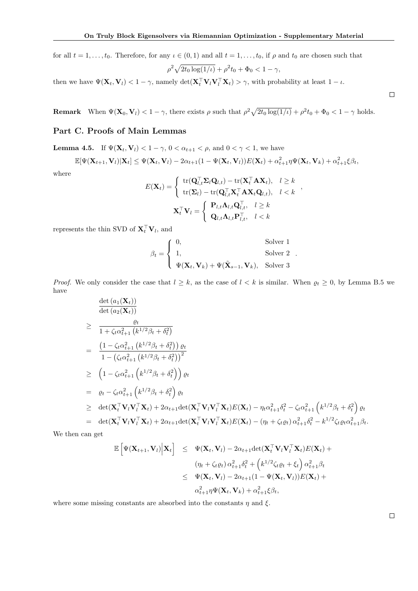for all  $t = 1, \ldots, t_0$ . Therefore, for any  $\iota \in (0, 1)$  and all  $t = 1, \ldots, t_0$ , if  $\rho$  and  $t_0$  are chosen such that

$$
\rho^2 \sqrt{2t_0 \log(1/\iota)} + \rho^2 t_0 + \Phi_0 < 1 - \gamma,
$$

then we have  $\Psi(\mathbf{X}_t, \mathbf{V}_l) < 1 - \gamma$ , namely  $\det(\mathbf{X}_t^{\top} \mathbf{V}_l \mathbf{V}_l^{\top} \mathbf{X}_t) > \gamma$ , with probability at least  $1 - \iota$ .

**Remark** When  $\Psi(\mathbf{X}_0, \mathbf{V}_l) < 1 - \gamma$ , there exists  $\rho$  such that  $\rho^2 \sqrt{2t_0 \log(1/l)} + \rho^2 t_0 + \Phi_0 < 1 - \gamma$  holds.

# Part C. Proofs of Main Lemmas

**Lemma 4.5.** If  $\Psi(\mathbf{X}_t, \mathbf{V}_l) < 1 - \gamma$ ,  $0 < \alpha_{t+1} < \rho$ , and  $0 < \gamma < 1$ , we have

$$
\mathbb{E}[\Psi(\mathbf{X}_{t+1},\mathbf{V}_l)|\mathbf{X}_t] \leq \Psi(\mathbf{X}_t,\mathbf{V}_l) - 2\alpha_{t+1}(1 - \Psi(\mathbf{X}_t,\mathbf{V}_l))E(\mathbf{X}_t) + \alpha_{t+1}^2 \eta \Psi(\mathbf{X}_t,\mathbf{V}_k) + \alpha_{t+1}^2 \xi \beta_t,
$$

where

$$
E(\mathbf{X}_{t}) = \begin{cases} \operatorname{tr}(\mathbf{Q}_{l,t}^{\top} \mathbf{\Sigma}_{l} \mathbf{Q}_{l,t}) - \operatorname{tr}(\mathbf{X}_{t}^{\top} \mathbf{A} \mathbf{X}_{t}), & l \geq k \\ \operatorname{tr}(\mathbf{\Sigma}_{l}) - \operatorname{tr}(\mathbf{Q}_{l,t}^{\top} \mathbf{X}_{t}^{\top} \mathbf{A} \mathbf{X}_{t} \mathbf{Q}_{l,t}), & l < k \end{cases},
$$

$$
\mathbf{X}_{t}^{\top} \mathbf{V}_{l} = \begin{cases} \mathbf{P}_{l,t} \mathbf{\Lambda}_{l,t} \mathbf{Q}_{l,t}^{\top}, & l \geq k \\ \mathbf{Q}_{l,t} \mathbf{\Lambda}_{l,t} \mathbf{P}_{l,t}^{\top}, & l < k \end{cases}
$$

represents the thin SVD of  $\mathbf{X}_t^{\top} \mathbf{V}_l$ , and

$$
\beta_t = \begin{cases} 0, & \text{Solver 1} \\ 1, & \text{Solver 2} \\ \Psi(\mathbf{X}_t, \mathbf{V}_k) + \Psi(\tilde{\mathbf{X}}_{s-1}, \mathbf{V}_k), & \text{Solver 3} \end{cases}.
$$

*Proof.* We only consider the case that  $l \geq k$ , as the case of  $l < k$  is similar. When  $\varrho_t \geq 0$ , by Lemma B.5 we have

$$
\frac{\det (a_1(\mathbf{X}_t))}{\det (a_2(\mathbf{X}_t))}
$$
\n
$$
\geq \frac{\varrho_t}{1 + \zeta_t \alpha_{t+1}^2 (k^{1/2} \beta_t + \delta_t^2)}
$$
\n
$$
= \frac{(1 - \zeta_t \alpha_{t+1}^2 (k^{1/2} \beta_t + \delta_t^2)) \varrho_t}{1 - (\zeta_t \alpha_{t+1}^2 (k^{1/2} \beta_t + \delta_t^2))^2}
$$
\n
$$
\geq (1 - \zeta_t \alpha_{t+1}^2 (k^{1/2} \beta_t + \delta_t^2)) \varrho_t
$$
\n
$$
= \varrho_t - \zeta_t \alpha_{t+1}^2 (k^{1/2} \beta_t + \delta_t^2) \varrho_t
$$
\n
$$
\geq \det(\mathbf{X}_t^\top \mathbf{V}_t \mathbf{V}_t^\top \mathbf{X}_t) + 2\alpha_{t+1} \det(\mathbf{X}_t^\top \mathbf{V}_t \mathbf{V}_t^\top \mathbf{X}_t) E(\mathbf{X}_t) - \eta_t \alpha_{t+1}^2 \delta_t^2 - \zeta_t \alpha_{t+1}^2 (k^{1/2} \beta_t + \delta_t^2) \varrho_t
$$
\n
$$
= \det(\mathbf{X}_t^\top \mathbf{V}_t \mathbf{V}_t^\top \mathbf{X}_t) + 2\alpha_{t+1} \det(\mathbf{X}_t^\top \mathbf{V}_t \mathbf{V}_t^\top \mathbf{X}_t) E(\mathbf{X}_t) - (\eta_t + \zeta_t \varrho_t) \alpha_{t+1}^2 \delta_t^2 - k^{1/2} \zeta_t \varrho_t \alpha_{t+1}^2 \beta_t.
$$

We then can get

$$
\mathbb{E}\left[\Psi(\mathbf{X}_{t+1},\mathbf{V}_l)\Big|\mathbf{X}_t\right] \leq \Psi(\mathbf{X}_t,\mathbf{V}_l) - 2\alpha_{t+1}\det(\mathbf{X}_t^\top\mathbf{V}_l\mathbf{V}_l^\top\mathbf{X}_t)E(\mathbf{X}_t) +
$$
  
\n
$$
(\eta_t + \zeta_t \varrho_t)\alpha_{t+1}^2 \delta_t^2 + \left(k^{1/2}\zeta_t \varrho_t + \xi_t\right)\alpha_{t+1}^2 \beta_t
$$
  
\n
$$
\leq \Psi(\mathbf{X}_t,\mathbf{V}_l) - 2\alpha_{t+1}(1-\Psi(\mathbf{X}_t,\mathbf{V}_l))E(\mathbf{X}_t) +
$$
  
\n
$$
\alpha_{t+1}^2 \eta \Psi(\mathbf{X}_t,\mathbf{V}_k) + \alpha_{t+1}^2 \xi \beta_t,
$$

where some missing constants are absorbed into the constants  $\eta$  and  $\xi$ .

 $\Box$ 

 $\Box$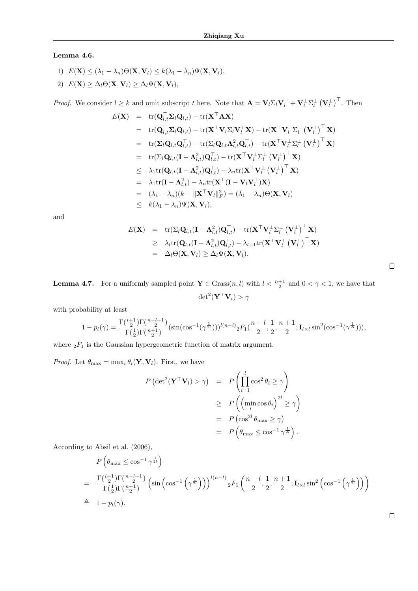# Lemma 4.6.

1)  $E(\mathbf{X}) \leq (\lambda_1 - \lambda_n) \Theta(\mathbf{X}, \mathbf{V}_l) \leq k(\lambda_1 - \lambda_n) \Psi(\mathbf{X}, \mathbf{V}_l),$ 2)  $E(\mathbf{X}) \geq \Delta_l \Theta(\mathbf{X}, \mathbf{V}_l) \geq \Delta_l \Psi(\mathbf{X}, \mathbf{V}_l),$ 

*Proof.* We consider  $l \geq k$  and omit subscript t here. Note that  $\mathbf{A} = \mathbf{V}_l \Sigma_l \mathbf{V}_l^{\top} + \mathbf{V}_l^{\perp} \Sigma_l^{\perp} (\mathbf{V}_l^{\perp})^{\top}$ . Then

$$
E(\mathbf{X}) = \text{tr}(\mathbf{Q}_{l,t}^{\top} \mathbf{\Sigma}_{l} \mathbf{Q}_{l,t}) - \text{tr}(\mathbf{X}^{\top} \mathbf{A} \mathbf{X})
$$
  
\n
$$
= \text{tr}(\mathbf{Q}_{l,t}^{\top} \mathbf{\Sigma}_{l} \mathbf{Q}_{l,t}) - \text{tr}(\mathbf{X}^{\top} \mathbf{V}_{l} \mathbf{\Sigma}_{l} \mathbf{V}_{l}^{\top} \mathbf{X}) - \text{tr}(\mathbf{X}^{\top} \mathbf{V}_{l}^{\perp} \mathbf{\Sigma}_{l}^{\perp} (\mathbf{V}_{l}^{\perp})^{\top} \mathbf{X})
$$
  
\n
$$
= \text{tr}(\mathbf{\Sigma}_{l} \mathbf{Q}_{l,t} \mathbf{Q}_{l,t}^{\top}) - \text{tr}(\mathbf{\Sigma}_{l} \mathbf{Q}_{l,t} \mathbf{\Lambda}_{l,t}^{2} \mathbf{Q}_{l,t}^{\top}) - \text{tr}(\mathbf{X}^{\top} \mathbf{V}_{l}^{\perp} \mathbf{\Sigma}_{l}^{\perp} (\mathbf{V}_{l}^{\perp})^{\top} \mathbf{X})
$$
  
\n
$$
= \text{tr}(\mathbf{\Sigma}_{l} \mathbf{Q}_{l,t} (\mathbf{I} - \mathbf{\Lambda}_{l,t}^{2}) \mathbf{Q}_{l,t}^{\top}) - \text{tr}(\mathbf{X}^{\top} \mathbf{V}_{l}^{\perp} \mathbf{\Sigma}_{l}^{\perp} (\mathbf{V}_{l}^{\perp})^{\top} \mathbf{X})
$$
  
\n
$$
\leq \lambda_{1} \text{tr}(\mathbf{Q}_{l,t} (\mathbf{I} - \mathbf{\Lambda}_{l,t}^{2}) \mathbf{Q}_{l,t}^{\top}) - \lambda_{n} \text{tr}(\mathbf{X}^{\top} \mathbf{V}_{l}^{\perp} (\mathbf{V}_{l}^{\perp})^{\top} \mathbf{X})
$$
  
\n
$$
= \lambda_{1} \text{tr}(\mathbf{I} - \mathbf{\Lambda}_{l,t}^{2}) - \lambda_{n} \text{tr}(\mathbf{X}^{\top} (\mathbf{I} - \mathbf{V}_{l} \mathbf{V}_{l}^{\top}) \mathbf{X})
$$
  
\n
$$
= (\
$$

and

$$
E(\mathbf{X}) = \text{tr}(\Sigma_l \mathbf{Q}_{l,t} (\mathbf{I} - \mathbf{\Lambda}_{l,t}^2) \mathbf{Q}_{l,t}^\top) - \text{tr}(\mathbf{X}^\top \mathbf{V}_l^\perp \Sigma_l^\perp (\mathbf{V}_l^\perp)^\top \mathbf{X})
$$
  
\n
$$
\geq \lambda_l \text{tr}(\mathbf{Q}_{l,t} (\mathbf{I} - \mathbf{\Lambda}_{l,t}^2) \mathbf{Q}_{l,t}^\top) - \lambda_{l+1} \text{tr}(\mathbf{X}^\top \mathbf{V}_l^\perp (\mathbf{V}_l^\perp)^\top \mathbf{X})
$$
  
\n
$$
= \Delta_l \Theta(\mathbf{X}, \mathbf{V}_l) \geq \Delta_l \Psi(\mathbf{X}, \mathbf{V}_l).
$$

**Lemma 4.7.** For a uniformly sampled point  $Y \in \text{Grass}(n, l)$  with  $l < \frac{n+1}{2}$  and  $0 < \gamma < 1$ , we have that  $\text{det}^2 (\mathbf{Y}^\top \mathbf{V}_l) > \gamma$ 

with probability at least

$$
1 - p_l(\gamma) = \frac{\Gamma(\frac{l+1}{2})\Gamma(\frac{n-l+1}{2})}{\Gamma(\frac{1}{2})\Gamma(\frac{n+1}{2})} \left(\sin(\cos^{-1}(\gamma^{\frac{1}{2l}})))^{l(n-l)} {}_2F_1(\frac{n-l}{2},\frac{1}{2},\frac{n+1}{2};\mathbf{I}_{l \times l} \sin^2(\cos^{-1}(\gamma^{\frac{1}{2l}}))),\right)
$$

where  ${}_2F_1$  is the Gaussian hypergeometric function of matrix argument.

*Proof.* Let  $\theta_{\text{max}} = \max_i \theta_i(\mathbf{Y}, \mathbf{V}_i)$ . First, we have

$$
P\left(\det^2(\mathbf{Y}^\top \mathbf{V}_l) > \gamma\right) = P\left(\prod_{i=1}^l \cos^2 \theta_i \ge \gamma\right)
$$
  
\n
$$
\ge P\left(\left(\min_i \cos \theta_i\right)^{2l} \ge \gamma\right)
$$
  
\n
$$
= P\left(\cos^{2l} \theta_{\max} \ge \gamma\right)
$$
  
\n
$$
= P\left(\theta_{\max} \le \cos^{-1} \gamma^{\frac{1}{2l}}\right).
$$

According to Absil et al. (2006),

$$
P\left(\theta_{\max} \leq \cos^{-1}\gamma^{\frac{1}{2l}}\right)
$$
  
= 
$$
\frac{\Gamma(\frac{l+1}{2})\Gamma(\frac{n-l+1}{2})}{\Gamma(\frac{1}{2})\Gamma(\frac{n+1}{2})} \left(\sin\left(\cos^{-1}\left(\gamma^{\frac{1}{2l}}\right)\right)\right)^{l(n-l)} {}_{2}F_{1}\left(\frac{n-l}{2}, \frac{1}{2}, \frac{n+1}{2}; \mathbf{I}_{l \times l} \sin^{2}\left(\cos^{-1}\left(\gamma^{\frac{1}{2l}}\right)\right)\right)
$$
  

$$
\triangleq 1 - p_{l}(\gamma).
$$

 $\Box$